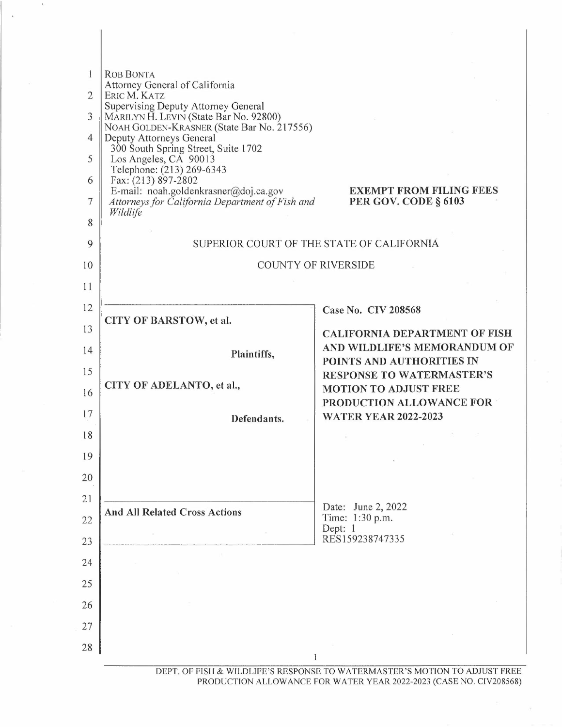| L<br>$\overline{2}$<br>3<br>4<br>5<br>6<br>7<br>8 | <b>ROB BONTA</b><br>Attorney General of California<br>ERIC M. KATZ<br>Supervising Deputy Attorney General<br>MARILYN H. LEVIN (State Bar No. 92800)<br>NOAH GOLDEN-KRASNER (State Bar No. 217556)<br>Deputy Attorneys General<br>300 South Spring Street, Suite 1702<br>Los Angeles, CA 90013<br>Telephone: (213) 269-6343<br>Fax: (213) 897-2802<br>E-mail: noah.goldenkrasner@doj.ca.gov<br>Attorneys for California Department of Fish and<br>Wildlife | <b>EXEMPT FROM FILING FEES</b><br>PER GOV. CODE § 6103                     |
|---------------------------------------------------|-----------------------------------------------------------------------------------------------------------------------------------------------------------------------------------------------------------------------------------------------------------------------------------------------------------------------------------------------------------------------------------------------------------------------------------------------------------|----------------------------------------------------------------------------|
| 9                                                 |                                                                                                                                                                                                                                                                                                                                                                                                                                                           | SUPERIOR COURT OF THE STATE OF CALIFORNIA                                  |
| 10                                                |                                                                                                                                                                                                                                                                                                                                                                                                                                                           | <b>COUNTY OF RIVERSIDE</b>                                                 |
| 11                                                |                                                                                                                                                                                                                                                                                                                                                                                                                                                           |                                                                            |
| 12                                                |                                                                                                                                                                                                                                                                                                                                                                                                                                                           | Case No. CIV 208568                                                        |
| 13                                                | CITY OF BARSTOW, et al.                                                                                                                                                                                                                                                                                                                                                                                                                                   | <b>CALIFORNIA DEPARTMENT OF FISH</b>                                       |
| 14                                                | Plaintiffs,                                                                                                                                                                                                                                                                                                                                                                                                                                               | AND WILDLIFE'S MEMORANDUM OF<br>POINTS AND AUTHORITIES IN                  |
| 15                                                |                                                                                                                                                                                                                                                                                                                                                                                                                                                           | <b>RESPONSE TO WATERMASTER'S</b>                                           |
| 16                                                | CITY OF ADELANTO, et al.,                                                                                                                                                                                                                                                                                                                                                                                                                                 | <b>MOTION TO ADJUST FREE</b><br>PRODUCTION ALLOWANCE FOR                   |
| 17                                                | Defendants.                                                                                                                                                                                                                                                                                                                                                                                                                                               | <b>WATER YEAR 2022-2023</b>                                                |
| 18                                                |                                                                                                                                                                                                                                                                                                                                                                                                                                                           |                                                                            |
| 19                                                |                                                                                                                                                                                                                                                                                                                                                                                                                                                           |                                                                            |
| 20                                                |                                                                                                                                                                                                                                                                                                                                                                                                                                                           |                                                                            |
| 21                                                |                                                                                                                                                                                                                                                                                                                                                                                                                                                           | Date: June 2, 2022                                                         |
| 22                                                | <b>And All Related Cross Actions</b>                                                                                                                                                                                                                                                                                                                                                                                                                      | Time: 1:30 p.m.<br>Dept: 1                                                 |
| 23                                                |                                                                                                                                                                                                                                                                                                                                                                                                                                                           | RES159238747335                                                            |
| 24                                                |                                                                                                                                                                                                                                                                                                                                                                                                                                                           |                                                                            |
| 25                                                |                                                                                                                                                                                                                                                                                                                                                                                                                                                           |                                                                            |
| 26                                                |                                                                                                                                                                                                                                                                                                                                                                                                                                                           |                                                                            |
| 27                                                |                                                                                                                                                                                                                                                                                                                                                                                                                                                           |                                                                            |
| 28                                                |                                                                                                                                                                                                                                                                                                                                                                                                                                                           |                                                                            |
|                                                   |                                                                                                                                                                                                                                                                                                                                                                                                                                                           | DEPT. OF FISH & WILDLIFE'S RESPONSE TO WATERMASTER'S MOTION TO ADJUST FREE |

PRODUCTION ALLOWANCE FOR WATER YEAR 2022-2023 (CASE NO. CIV208568)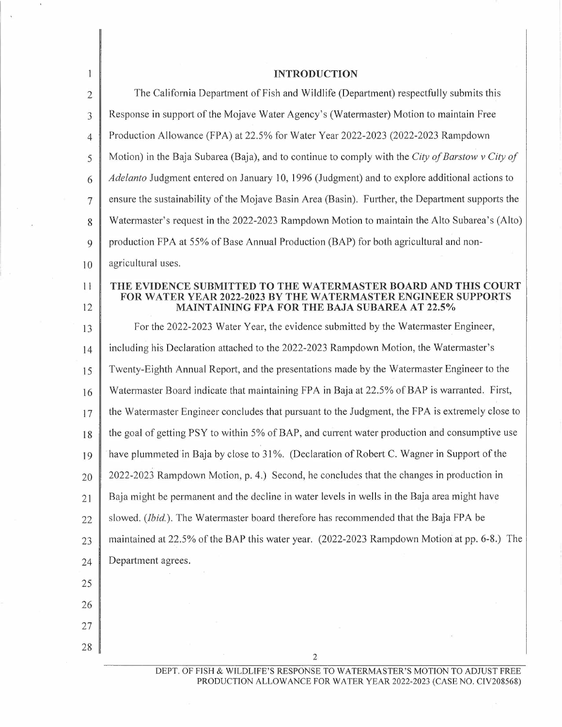| $\mathbf{1}$   | <b>INTRODUCTION</b>                                                                                                   |
|----------------|-----------------------------------------------------------------------------------------------------------------------|
| $\overline{2}$ | The California Department of Fish and Wildlife (Department) respectfully submits this                                 |
| 3              | Response in support of the Mojave Water Agency's (Watermaster) Motion to maintain Free                                |
| $\overline{4}$ | Production Allowance (FPA) at 22.5% for Water Year 2022-2023 (2022-2023 Rampdown                                      |
| 5              | Motion) in the Baja Subarea (Baja), and to continue to comply with the City of Barstow v City of                      |
| 6              | Adelanto Judgment entered on January 10, 1996 (Judgment) and to explore additional actions to                         |
| 7              | ensure the sustainability of the Mojave Basin Area (Basin). Further, the Department supports the                      |
| 8              | Watermaster's request in the 2022-2023 Rampdown Motion to maintain the Alto Subarea's (Alto)                          |
| 9              | production FPA at 55% of Base Annual Production (BAP) for both agricultural and non-                                  |
| 10             | agricultural uses.                                                                                                    |
| 11             | THE EVIDENCE SUBMITTED TO THE WATERMASTER BOARD AND THIS COURT                                                        |
| 12             | <b>FOR WATER YEAR 2022-2023 BY THE WATERMASTER ENGINEER SUPPORTS</b><br>MAINTAINING FPA FOR THE BAJA SUBAREA AT 22.5% |
| 13             | For the 2022-2023 Water Year, the evidence submitted by the Watermaster Engineer,                                     |
| 14             | including his Declaration attached to the 2022-2023 Rampdown Motion, the Watermaster's                                |
| 15             | Twenty-Eighth Annual Report, and the presentations made by the Watermaster Engineer to the                            |
| 16             | Watermaster Board indicate that maintaining FPA in Baja at 22.5% of BAP is warranted. First,                          |
| 17             | the Watermaster Engineer concludes that pursuant to the Judgment, the FPA is extremely close to                       |
| 18             | the goal of getting PSY to within 5% of BAP, and current water production and consumptive use                         |
| 19             | have plummeted in Baja by close to 31%. (Declaration of Robert C. Wagner in Support of the                            |
| 20             | 2022-2023 Rampdown Motion, p. 4.) Second, he concludes that the changes in production in                              |
| 21             | Baja might be permanent and the decline in water levels in wells in the Baja area might have                          |
| 22             | slowed. (Ibid.). The Watermaster board therefore has recommended that the Baja FPA be                                 |
| 23             | maintained at 22.5% of the BAP this water year. (2022-2023 Rampdown Motion at pp. 6-8.) The                           |
| 24             | Department agrees.                                                                                                    |
| 25             |                                                                                                                       |
| 26             |                                                                                                                       |
| 27             |                                                                                                                       |
| 28             | $\overline{2}$                                                                                                        |

 $\mathcal{A}$ 

 $\ddot{\phantom{a}}$ 

DEPT. OF FISH & WILDLIFE'S RESPONSE TO WATERMASTER'S MOTION TO ADJUST FREE PRODUCTION ALLOWANCE FOR WATER YEAR 2022-2023 (CASE NO. CIV208568)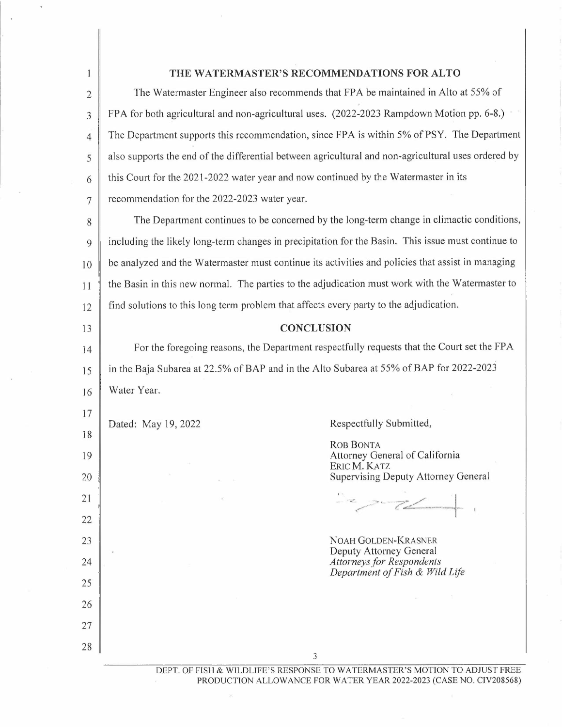| THE WATERMASTER'S RECOMMENDATIONS FOR ALTO<br>1<br>The Watermaster Engineer also recommends that FPA be maintained in Alto at 55% of<br>$\overline{2}$<br>FPA for both agricultural and non-agricultural uses. (2022-2023 Rampdown Motion pp. 6-8.)<br>3<br>The Department supports this recommendation, since FPA is within 5% of PSY. The Department<br>4<br>also supports the end of the differential between agricultural and non-agricultural uses ordered by<br>5<br>this Court for the 2021-2022 water year and now continued by the Watermaster in its<br>6<br>recommendation for the 2022-2023 water year.<br>7<br>The Department continues to be concerned by the long-term change in climactic conditions,<br>8<br>including the likely long-term changes in precipitation for the Basin. This issue must continue to<br>9<br>be analyzed and the Watermaster must continue its activities and policies that assist in managing<br>10<br>the Basin in this new normal. The parties to the adjudication must work with the Watermaster to<br>11<br>find solutions to this long term problem that affects every party to the adjudication.<br>12<br><b>CONCLUSION</b><br>13<br>For the foregoing reasons, the Department respectfully requests that the Court set the FPA<br>14<br>in the Baja Subarea at 22.5% of BAP and in the Alto Subarea at 55% of BAP for 2022-2023<br>15<br>Water Year.<br>16<br>17<br>Respectfully Submitted,<br>Dated: May 19, 2022<br>18<br><b>ROB BONTA</b><br>Attorney General of California<br>19<br>ERIC M. KATZ<br><b>Supervising Deputy Attorney General</b><br>20<br>21<br>22<br>NOAH GOLDEN-KRASNER<br>23<br>Deputy Attorney General |    |   |                                                                            |  |
|----------------------------------------------------------------------------------------------------------------------------------------------------------------------------------------------------------------------------------------------------------------------------------------------------------------------------------------------------------------------------------------------------------------------------------------------------------------------------------------------------------------------------------------------------------------------------------------------------------------------------------------------------------------------------------------------------------------------------------------------------------------------------------------------------------------------------------------------------------------------------------------------------------------------------------------------------------------------------------------------------------------------------------------------------------------------------------------------------------------------------------------------------------------------------------------------------------------------------------------------------------------------------------------------------------------------------------------------------------------------------------------------------------------------------------------------------------------------------------------------------------------------------------------------------------------------------------------------------------------------------------------------------------------------------------|----|---|----------------------------------------------------------------------------|--|
|                                                                                                                                                                                                                                                                                                                                                                                                                                                                                                                                                                                                                                                                                                                                                                                                                                                                                                                                                                                                                                                                                                                                                                                                                                                                                                                                                                                                                                                                                                                                                                                                                                                                                  |    |   |                                                                            |  |
|                                                                                                                                                                                                                                                                                                                                                                                                                                                                                                                                                                                                                                                                                                                                                                                                                                                                                                                                                                                                                                                                                                                                                                                                                                                                                                                                                                                                                                                                                                                                                                                                                                                                                  |    |   |                                                                            |  |
|                                                                                                                                                                                                                                                                                                                                                                                                                                                                                                                                                                                                                                                                                                                                                                                                                                                                                                                                                                                                                                                                                                                                                                                                                                                                                                                                                                                                                                                                                                                                                                                                                                                                                  |    |   |                                                                            |  |
|                                                                                                                                                                                                                                                                                                                                                                                                                                                                                                                                                                                                                                                                                                                                                                                                                                                                                                                                                                                                                                                                                                                                                                                                                                                                                                                                                                                                                                                                                                                                                                                                                                                                                  |    |   |                                                                            |  |
|                                                                                                                                                                                                                                                                                                                                                                                                                                                                                                                                                                                                                                                                                                                                                                                                                                                                                                                                                                                                                                                                                                                                                                                                                                                                                                                                                                                                                                                                                                                                                                                                                                                                                  |    |   |                                                                            |  |
|                                                                                                                                                                                                                                                                                                                                                                                                                                                                                                                                                                                                                                                                                                                                                                                                                                                                                                                                                                                                                                                                                                                                                                                                                                                                                                                                                                                                                                                                                                                                                                                                                                                                                  |    |   |                                                                            |  |
|                                                                                                                                                                                                                                                                                                                                                                                                                                                                                                                                                                                                                                                                                                                                                                                                                                                                                                                                                                                                                                                                                                                                                                                                                                                                                                                                                                                                                                                                                                                                                                                                                                                                                  |    |   |                                                                            |  |
|                                                                                                                                                                                                                                                                                                                                                                                                                                                                                                                                                                                                                                                                                                                                                                                                                                                                                                                                                                                                                                                                                                                                                                                                                                                                                                                                                                                                                                                                                                                                                                                                                                                                                  |    |   |                                                                            |  |
|                                                                                                                                                                                                                                                                                                                                                                                                                                                                                                                                                                                                                                                                                                                                                                                                                                                                                                                                                                                                                                                                                                                                                                                                                                                                                                                                                                                                                                                                                                                                                                                                                                                                                  |    |   |                                                                            |  |
|                                                                                                                                                                                                                                                                                                                                                                                                                                                                                                                                                                                                                                                                                                                                                                                                                                                                                                                                                                                                                                                                                                                                                                                                                                                                                                                                                                                                                                                                                                                                                                                                                                                                                  |    |   |                                                                            |  |
|                                                                                                                                                                                                                                                                                                                                                                                                                                                                                                                                                                                                                                                                                                                                                                                                                                                                                                                                                                                                                                                                                                                                                                                                                                                                                                                                                                                                                                                                                                                                                                                                                                                                                  |    |   |                                                                            |  |
|                                                                                                                                                                                                                                                                                                                                                                                                                                                                                                                                                                                                                                                                                                                                                                                                                                                                                                                                                                                                                                                                                                                                                                                                                                                                                                                                                                                                                                                                                                                                                                                                                                                                                  |    |   |                                                                            |  |
|                                                                                                                                                                                                                                                                                                                                                                                                                                                                                                                                                                                                                                                                                                                                                                                                                                                                                                                                                                                                                                                                                                                                                                                                                                                                                                                                                                                                                                                                                                                                                                                                                                                                                  |    |   |                                                                            |  |
|                                                                                                                                                                                                                                                                                                                                                                                                                                                                                                                                                                                                                                                                                                                                                                                                                                                                                                                                                                                                                                                                                                                                                                                                                                                                                                                                                                                                                                                                                                                                                                                                                                                                                  |    |   |                                                                            |  |
|                                                                                                                                                                                                                                                                                                                                                                                                                                                                                                                                                                                                                                                                                                                                                                                                                                                                                                                                                                                                                                                                                                                                                                                                                                                                                                                                                                                                                                                                                                                                                                                                                                                                                  |    |   |                                                                            |  |
|                                                                                                                                                                                                                                                                                                                                                                                                                                                                                                                                                                                                                                                                                                                                                                                                                                                                                                                                                                                                                                                                                                                                                                                                                                                                                                                                                                                                                                                                                                                                                                                                                                                                                  |    |   |                                                                            |  |
|                                                                                                                                                                                                                                                                                                                                                                                                                                                                                                                                                                                                                                                                                                                                                                                                                                                                                                                                                                                                                                                                                                                                                                                                                                                                                                                                                                                                                                                                                                                                                                                                                                                                                  |    |   |                                                                            |  |
|                                                                                                                                                                                                                                                                                                                                                                                                                                                                                                                                                                                                                                                                                                                                                                                                                                                                                                                                                                                                                                                                                                                                                                                                                                                                                                                                                                                                                                                                                                                                                                                                                                                                                  |    |   |                                                                            |  |
|                                                                                                                                                                                                                                                                                                                                                                                                                                                                                                                                                                                                                                                                                                                                                                                                                                                                                                                                                                                                                                                                                                                                                                                                                                                                                                                                                                                                                                                                                                                                                                                                                                                                                  |    |   |                                                                            |  |
|                                                                                                                                                                                                                                                                                                                                                                                                                                                                                                                                                                                                                                                                                                                                                                                                                                                                                                                                                                                                                                                                                                                                                                                                                                                                                                                                                                                                                                                                                                                                                                                                                                                                                  |    |   |                                                                            |  |
|                                                                                                                                                                                                                                                                                                                                                                                                                                                                                                                                                                                                                                                                                                                                                                                                                                                                                                                                                                                                                                                                                                                                                                                                                                                                                                                                                                                                                                                                                                                                                                                                                                                                                  |    |   |                                                                            |  |
|                                                                                                                                                                                                                                                                                                                                                                                                                                                                                                                                                                                                                                                                                                                                                                                                                                                                                                                                                                                                                                                                                                                                                                                                                                                                                                                                                                                                                                                                                                                                                                                                                                                                                  |    |   |                                                                            |  |
|                                                                                                                                                                                                                                                                                                                                                                                                                                                                                                                                                                                                                                                                                                                                                                                                                                                                                                                                                                                                                                                                                                                                                                                                                                                                                                                                                                                                                                                                                                                                                                                                                                                                                  |    |   |                                                                            |  |
|                                                                                                                                                                                                                                                                                                                                                                                                                                                                                                                                                                                                                                                                                                                                                                                                                                                                                                                                                                                                                                                                                                                                                                                                                                                                                                                                                                                                                                                                                                                                                                                                                                                                                  | 24 |   | <b>Attorneys for Respondents</b>                                           |  |
| Department of Fish & Wild Life<br>25                                                                                                                                                                                                                                                                                                                                                                                                                                                                                                                                                                                                                                                                                                                                                                                                                                                                                                                                                                                                                                                                                                                                                                                                                                                                                                                                                                                                                                                                                                                                                                                                                                             |    |   |                                                                            |  |
| 26                                                                                                                                                                                                                                                                                                                                                                                                                                                                                                                                                                                                                                                                                                                                                                                                                                                                                                                                                                                                                                                                                                                                                                                                                                                                                                                                                                                                                                                                                                                                                                                                                                                                               |    |   |                                                                            |  |
| 27                                                                                                                                                                                                                                                                                                                                                                                                                                                                                                                                                                                                                                                                                                                                                                                                                                                                                                                                                                                                                                                                                                                                                                                                                                                                                                                                                                                                                                                                                                                                                                                                                                                                               |    |   |                                                                            |  |
| 28                                                                                                                                                                                                                                                                                                                                                                                                                                                                                                                                                                                                                                                                                                                                                                                                                                                                                                                                                                                                                                                                                                                                                                                                                                                                                                                                                                                                                                                                                                                                                                                                                                                                               |    |   |                                                                            |  |
|                                                                                                                                                                                                                                                                                                                                                                                                                                                                                                                                                                                                                                                                                                                                                                                                                                                                                                                                                                                                                                                                                                                                                                                                                                                                                                                                                                                                                                                                                                                                                                                                                                                                                  |    | 3 | DEPT. OF FISH & WILDLIFE'S RESPONSE TO WATERMASTER'S MOTION TO ADJUST FREE |  |

 $\epsilon$ 

I

PRODUCTION ALLOWANCE FOR WATER YEAR 2022-2023 (CASE NO. CIV208568)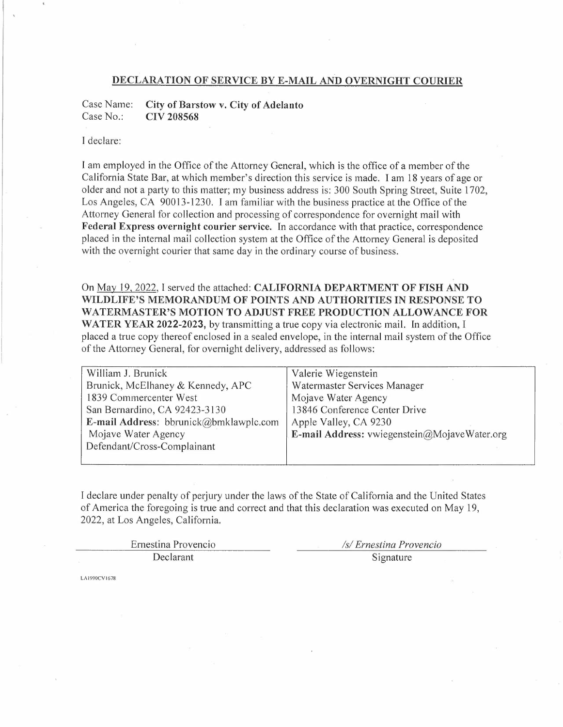### **DECLARATION OF SERVICE BY E-MAIL AND OVERNIGHT COURIER**

Case Name: Case No.: **City of Barstow v. City of Adelanto CIV 208568** 

## I declare:

I am employed in the Office of the Attorney General, which is the office of a member of the California State Bar, at which member's direction this service is made. I am 18 years of age or older and not a party to this matter; my business address is: 300 South Spring Street, Suite 1702, Los Angeles, CA 90013-1230. I am familiar with the business practice at the Office of the Attorney General for collection and processing of correspondence for overnight mail with **Federal Express overnight courier service.** In accordance with that practice, correspondence placed in the internal mail collection system at the Office of the Attorney General is deposited with the overnight courier that same day in the ordinary course of business.

On May 19, 2022, I served the attached: **CALIFORNIA DEPARTMENT OF FISH AND WILDLIFE'S MEMORANDUM OF POINTS AND AUTHORITIES IN RESPONSE TO WATERMASTER'S MOTION TO ADJUST FREE PRODUCTION ALLOWANCE FOR WATER YEAR 2022-2023,** by transmitting a true copy via electronic mail. In addition, I placed a true copy thereof enclosed in a sealed envelope, in the internal mail system of the Office of the Attorney General, for overnight delivery, addressed as follows:

| William J. Brunick                     | Valerie Wiegenstein                          |
|----------------------------------------|----------------------------------------------|
| Brunick, McElhaney & Kennedy, APC      | Watermaster Services Manager                 |
| 1839 Commercenter West                 | Mojave Water Agency                          |
| San Bernardino, CA 92423-3130          | 13846 Conference Center Drive                |
| E-mail Address: bbrunick@bmklawplc.com | Apple Valley, CA 9230                        |
| Mojave Water Agency                    | E-mail Address: vwiegenstein@MojaveWater.org |
| Defendant/Cross-Complainant            |                                              |
|                                        |                                              |

I declare under penalty of perjury under the laws of the State of California and the United States of America the foregoing is true and correct and that this declaration was executed on May 19, 2022, at Los Angeles, California.

| Ernestina Provencio | /s/ Ernestina Provencio |
|---------------------|-------------------------|
| <b>Declarant</b>    | Signature               |

LA1990CVl678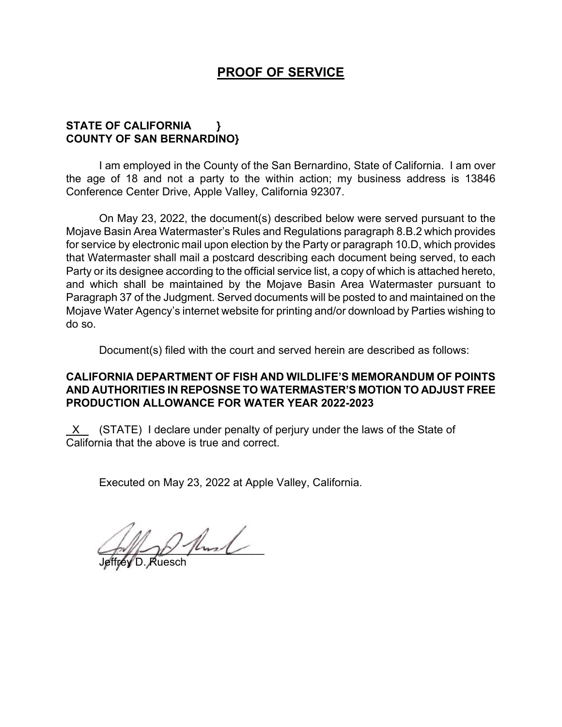# **PROOF OF SERVICE**

## **STATE OF CALIFORNIA } COUNTY OF SAN BERNARDINO}**

I am employed in the County of the San Bernardino, State of California. I am over the age of 18 and not a party to the within action; my business address is 13846 Conference Center Drive, Apple Valley, California 92307.

On May 23, 2022, the document(s) described below were served pursuant to the Mojave Basin Area Watermaster's Rules and Regulations paragraph 8.B.2 which provides for service by electronic mail upon election by the Party or paragraph 10.D, which provides that Watermaster shall mail a postcard describing each document being served, to each Party or its designee according to the official service list, a copy of which is attached hereto, and which shall be maintained by the Mojave Basin Area Watermaster pursuant to Paragraph 37 of the Judgment. Served documents will be posted to and maintained on the Mojave Water Agency's internet website for printing and/or download by Parties wishing to do so.

Document(s) filed with the court and served herein are described as follows:

## **CALIFORNIA DEPARTMENT OF FISH AND WILDLIFE'S MEMORANDUM OF POINTS AND AUTHORITIES IN REPOSNSE TO WATERMASTER'S MOTION TO ADJUST FREE PRODUCTION ALLOWANCE FOR WATER YEAR 2022-2023**

 X (STATE) I declare under penalty of perjury under the laws of the State of California that the above is true and correct.

Executed on May 23, 2022 at Apple Valley, California.

 $2$  flood

Jeffrey D. Ruesch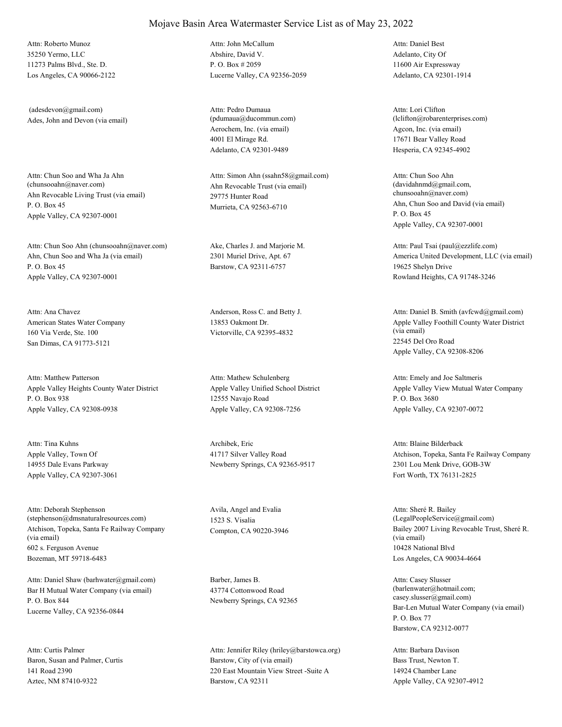35250 Yermo, LLC 11273 Palms Blvd., Ste. D. Los Angeles, CA 90066-2122 Attn: Roberto Munoz

Ades, John and Devon (via email) (adesdevon@gmail.com)

Ahn Revocable Living Trust (via email) P. O. Box 45 Apple Valley, CA 92307-0001 Attn: Chun Soo and Wha Ja Ahn<br>(chunsooahn@naver.com)

Ahn, Chun Soo and Wha Ja (via email) P. O. Box 45 Apple Valley, CA 92307-0001 Attn: Chun Soo Ahn (chunsooahn@naver.com) Ake, Charles J. and Marjorie M.

American States Water Company 160 Via Verde, Ste. 100 San Dimas, CA 91773-5121 Attn: Ana Chavez Anderson, Ross C. and Betty J.

Apple Valley Heights County Water District P. O. Box 938 Apple Valley, CA 92308-0938 Attn: Matthew Patterson

Apple Valley, Town Of 14955 Dale Evans Parkway Apple Valley, CA 92307-3061 Attn: Tina Kuhns Archibek, Eric

Atchison, Topeka, Santa Fe Railway Company (via email) 602 s. Ferguson Avenue Bozeman, MT 59718-6483 Attn: Deborah Stephenson (stephenson@dmsnaturalresources.com)

Bar H Mutual Water Company (via email) P. O. Box 844 Lucerne Valley, CA 92356-0844 Attn: Daniel Shaw (barhwater@gmail.com) Barber, James B.

Baron, Susan and Palmer, Curtis 141 Road 2390 Aztec, NM 87410-9322 Attn: Curtis Palmer

Abshire, David V. P. O. Box # 2059 Lucerne Valley, CA 92356-2059 Attn: John McCallum

Aerochem, Inc. (via email) 4001 El Mirage Rd. Adelanto, CA 92301-9489 Attn: Pedro Dumaua (pdumaua@ducommun.com)

Ahn Revocable Trust (via email) 29775 Hunter Road Murrieta, CA 92563-6710 Attn: Simon Ahn (ssahn58@gmail.com)

2301 Muriel Drive, Apt. 67 Barstow, CA 92311-6757

13853 Oakmont Dr. Victorville, CA 92395-4832

Apple Valley Unified School District 12555 Navajo Road Apple Valley, CA 92308-7256 Attn: Mathew Schulenberg

41717 Silver Valley Road Newberry Springs, CA 92365-9517

Avila, Angel and Evalia 1523 S. Visalia

43774 Cottonwood Road Newberry Springs, CA 92365

Barstow, City of (via email) 220 East Mountain View Street -Suite A Barstow, CA 92311 Attn: Jennifer Riley (hriley@barstowca.org) Adelanto, City Of 11600 Air Expressway Adelanto, CA 92301-1914 Attn: Daniel Best

Agcon, Inc. (via email) 17671 Bear Valley Road Hesperia, CA 92345-4902 Attn: Lori Clifton (lclifton@robarenterprises.com)

Ahn, Chun Soo and David (via email) P. O. Box 45 Apple Valley, CA 92307-0001 Attn: Chun Soo Ahn (davidahnmd@gmail.com, chunsooahn@naver.com)

America United Development, LLC (via email) 19625 Shelyn Drive Rowland Heights, CA 91748-3246 Attn: Paul Tsai (paul@ezzlife.com)

Apple Valley Foothill County Water District (via email) 22545 Del Oro Road Apple Valley, CA 92308-8206 Attn: Daniel B. Smith (avfcwd@gmail.com)

Apple Valley View Mutual Water Company P. O. Box 3680 Apple Valley, CA 92307-0072 Attn: Emely and Joe Saltmeris

Atchison, Topeka, Santa Fe Railway Company 2301 Lou Menk Drive, GOB-3W Fort Worth, TX 76131-2825 Attn: Blaine Bilderback

Compton, CA 90220-3946 Bailey 2007 Living Revocable Trust, Sheré R. (via email) 10428 National Blvd Los Angeles, CA 90034-4664 Attn: Sheré R. Bailey (LegalPeopleService@gmail.com)

> Bar-Len Mutual Water Company (via email) P. O. Box 77 Barstow, CA 92312-0077 Attn: Casey Slusser (barlenwater@hotmail.com; casey.slusser@gmail.com)

Bass Trust, Newton T. 14924 Chamber Lane Apple Valley, CA 92307-4912 Attn: Barbara Davison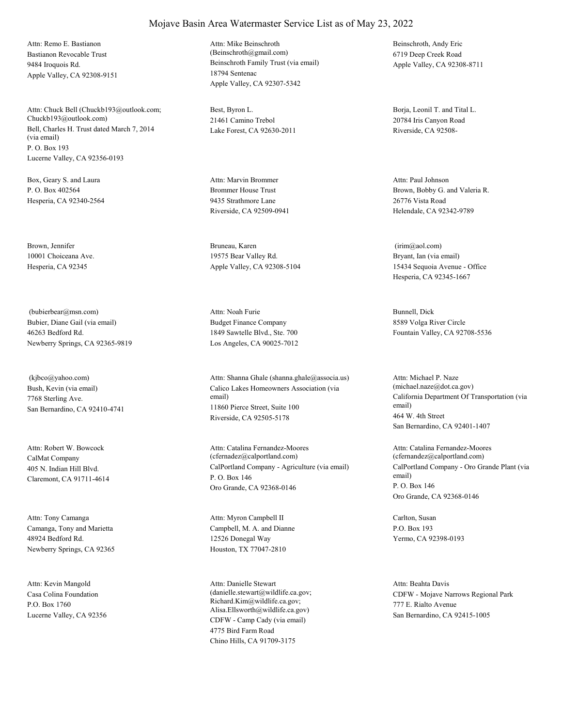Bastianon Revocable Trust 9484 Iroquois Rd. Apple Valley, CA 92308-9151 Attn: Remo E. Bastianon

Bell, Charles H. Trust dated March 7, 2014 (via email) P. O. Box 193 Lucerne Valley, CA 92356-0193 Attn: Chuck Bell (Chuckb193@outlook.com; Chuckb193@outlook.com)

Box, Geary S. and Laura P. O. Box 402564 Hesperia, CA 92340-2564

Brown, Jennifer 10001 Choiceana Ave. Hesperia, CA 92345

Bubier, Diane Gail (via email) 46263 Bedford Rd. Newberry Springs, CA 92365-9819 (bubierbear@msn.com)

Bush, Kevin (via email) 7768 Sterling Ave. San Bernardino, CA 92410-4741 (kjbco@yahoo.com)

CalMat Company 405 N. Indian Hill Blvd. Claremont, CA 91711-4614 Attn: Robert W. Bowcock

Camanga, Tony and Marietta 48924 Bedford Rd. Newberry Springs, CA 92365 Attn: Tony Camanga

Casa Colina Foundation P.O. Box 1760 Lucerne Valley, CA 92356 Attn: Kevin Mangold

Beinschroth Family Trust (via email) 18794 Sentenac Apple Valley, CA 92307-5342 Attn: Mike Beinschroth (Beinschroth@gmail.com)

Best, Byron L. 21461 Camino Trebol Lake Forest, CA 92630-2011

Brommer House Trust 9435 Strathmore Lane Riverside, CA 92509-0941 Attn: Marvin Brommer

Bruneau, Karen 19575 Bear Valley Rd. Apple Valley, CA 92308-5104

Budget Finance Company 1849 Sawtelle Blvd., Ste. 700 Los Angeles, CA 90025-7012 Attn: Noah Furie Bunnell, Dick

Calico Lakes Homeowners Association (via email) 11860 Pierce Street, Suite 100 Riverside, CA 92505-5178 Attn: Shanna Ghale (shanna.ghale@associa.us)

CalPortland Company - Agriculture (via email) P. O. Box 146 Oro Grande, CA 92368-0146 Attn: Catalina Fernandez-Moores (cfernadez@calportland.com)

Campbell, M. A. and Dianne 12526 Donegal Way Houston, TX 77047-2810 Attn: Myron Campbell II Carlton, Susan

CDFW - Camp Cady (via email) 4775 Bird Farm Road Chino Hills, CA 91709-3175 Attn: Danielle Stewart (danielle.stewart@wildlife.ca.gov; Richard.Kim@wildlife.ca.gov; Alisa.Ellsworth@wildlife.ca.gov)

Beinschroth, Andy Eric 6719 Deep Creek Road Apple Valley, CA 92308-8711

Borja, Leonil T. and Tital L. 20784 Iris Canyon Road Riverside, CA 92508-

Brown, Bobby G. and Valeria R. 26776 Vista Road Helendale, CA 92342-9789 Attn: Paul Johnson

Bryant, Ian (via email) 15434 Sequoia Avenue - Office Hesperia, CA 92345-1667 (irim@aol.com)

8589 Volga River Circle Fountain Valley, CA 92708-5536

California Department Of Transportation (via email) 464 W. 4th Street San Bernardino, CA 92401-1407 Attn: Michael P. Naze (michael.naze@dot.ca.gov)

CalPortland Company - Oro Grande Plant (via email) P. O. Box 146 Oro Grande, CA 92368-0146 Attn: Catalina Fernandez-Moores (cfernandez@calportland.com)

P.O. Box 193 Yermo, CA 92398-0193

CDFW - Mojave Narrows Regional Park 777 E. Rialto Avenue San Bernardino, CA 92415-1005 Attn: Beahta Davis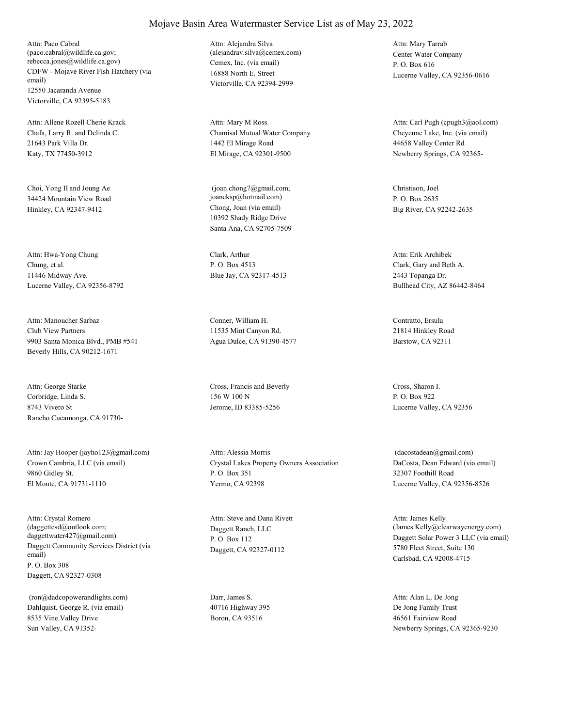CDFW - Mojave River Fish Hatchery (via email) 12550 Jacaranda Avenue Victorville, CA 92395-5183 Attn: Paco Cabral (paco.cabral@wildlife.ca.gov; rebecca.jones@wildlife.ca.gov) Cemex, Inc. (via email)

Chafa, Larry R. and Delinda C. 21643 Park Villa Dr. Katy, TX 77450-3912 Attn: Allene Rozell Cherie Krack

Choi, Yong Il and Joung Ae 34424 Mountain View Road Hinkley, CA 92347-9412 Chong, Joan (via email)

Chung, et al. 11446 Midway Ave. Lucerne Valley, CA 92356-8792 Attn: Hwa-Yong Chung Clark, Arthur

Club View Partners 9903 Santa Monica Blvd., PMB #541 Beverly Hills, CA 90212-1671 Attn: Manoucher Sarbaz Conner, William H.

Corbridge, Linda S. 8743 Vivero St Rancho Cucamonga, CA 91730- Attn: George Starke Cross, Francis and Beverly

Crown Cambria, LLC (via email) 9860 Gidley St. El Monte, CA 91731-1110 Attn: Jay Hooper (jayho123@gmail.com)

Daggett Community Services District (via email) P. O. Box 308 Daggett, CA 92327-0308 Attn: Crystal Romero (daggettcsd@outlook.com; daggettwater427@gmail.com)

Dahlquist, George R. (via email) 8535 Vine Valley Drive Sun Valley, CA 91352- (ron@dadcopowerandlights.com) Darr, James S.

16888 North E. Street Victorville, CA 92394-2999 Attn: Alejandra Silva (alejandrav.silva@cemex.com) Center Water Company

Chamisal Mutual Water Company 1442 El Mirage Road El Mirage, CA 92301-9500 Attn: Mary M Ross

10392 Shady Ridge Drive Santa Ana, CA 92705-7509 (joan.chong7@gmail.com; joancksp@hotmail.com)

P. O. Box 4513 Blue Jay, CA 92317-4513

11535 Mint Canyon Rd. Agua Dulce, CA 91390-4577

156 W 100 N Jerome, ID 83385-5256

Crystal Lakes Property Owners Association P. O. Box 351 Yermo, CA 92398 Attn: Alessia Morris

Daggett Ranch, LLC P. O. Box 112 Daggett, CA 92327-0112 Attn: Steve and Dana Rivett

40716 Highway 395 Boron, CA 93516

P. O. Box 616 Lucerne Valley, CA 92356-0616 Attn: Mary Tarrab

Cheyenne Lake, Inc. (via email) 44658 Valley Center Rd Newberry Springs, CA 92365- Attn: Carl Pugh (cpugh3@aol.com)

Christison, Joel P. O. Box 2635 Big River, CA 92242-2635

Clark, Gary and Beth A. 2443 Topanga Dr. Bullhead City, AZ 86442-8464 Attn: Erik Archibek

Contratto, Ersula 21814 Hinkley Road Barstow, CA 92311

Cross, Sharon I. P. O. Box 922 Lucerne Valley, CA 92356

DaCosta, Dean Edward (via email) 32307 Foothill Road Lucerne Valley, CA 92356-8526 (dacostadean@gmail.com)

Daggett Solar Power 3 LLC (via email) 5780 Fleet Street, Suite 130 Carlsbad, CA 92008-4715 Attn: James Kelly (James.Kelly@clearwayenergy.com)

De Jong Family Trust 46561 Fairview Road Newberry Springs, CA 92365-9230 Attn: Alan L. De Jong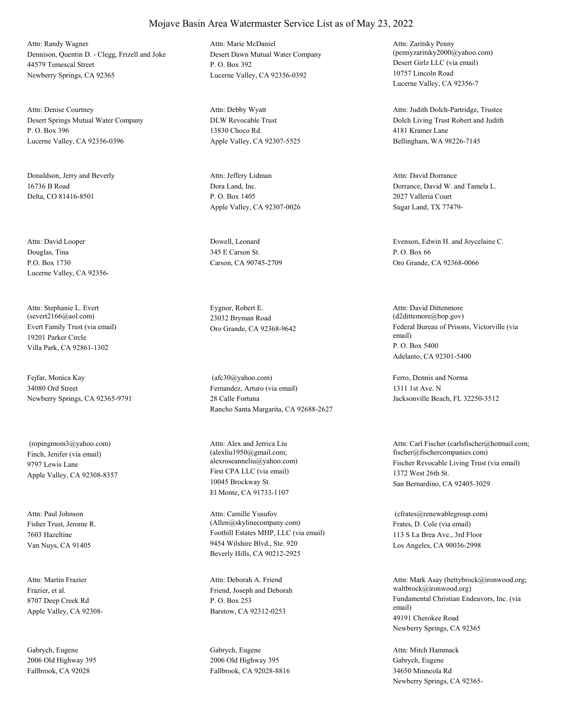Dennison, Quentin D. - Clegg, Frizell and Joke 44579 Temescal Street Newberry Springs, CA 92365 Attn: Randy Wagner

Desert Springs Mutual Water Company P. O. Box 396 Lucerne Valley, CA 92356-0396 Attn: Denise Courtney

Donaldson, Jerry and Beverly 16736 B Road Delta, CO 81416-8501

Douglas, Tina P.O. Box 1730 Lucerne Valley, CA 92356- Attn: David Looper Dowell, Leonard

Evert Family Trust (via email) 19201 Parker Circle Villa Park, CA 92861-1302 Attn: Stephanie L. Evert (severt2166@aol.com)

Fejfar, Monica Kay 34080 Ord Street Newberry Springs, CA 92365-9791

Finch, Jenifer (via email) 9797 Lewis Lane Apple Valley, CA 92308-8357 (ropingmom3@yahoo.com)

Fisher Trust, Jerome R. 7603 Hazeltine Van Nuys, CA 91405 Attn: Paul Johnson

Frazier, et al. 8707 Deep Creek Rd Apple Valley, CA 92308- Attn: Martin Frazier

Gabrych, Eugene 2006 Old Highway 395 Fallbrook, CA 92028

Desert Dawn Mutual Water Company P. O. Box 392 Lucerne Valley, CA 92356-0392 Attn: Marie McDaniel

DLW Revocable Trust 13830 Choco Rd. Apple Valley, CA 92307-5525 Attn: Debby Wyatt

Dora Land, Inc. P. O. Box 1405 Apple Valley, CA 92307-0026 Attn: Jeffery Lidman

345 E Carson St. Carson, CA 90745-2709

Eygnor, Robert E. 23032 Bryman Road

Fernandez, Arturo (via email) 28 Calle Fortuna Rancho Santa Margarita, CA 92688-2627 (afc30@yahoo.com) Ferro, Dennis and Norma

First CPA LLC (via email) 10045 Brockway St. El Monte, CA 91733-1107 Attn: Alex and Jerrica Liu (alexliu1950@gmail.com;

Foothill Estates MHP, LLC (via email) 9454 Wilshire Blvd., Ste. 920 Beverly Hills, CA 90212-2925 Attn: Camille Yusufov (Allen@skylinecompany.com) Frates, D. Cole (via email)

Friend, Joseph and Deborah P. O. Box 253 Barstow, CA 92312-0253 Attn: Deborah A. Friend

Gabrych, Eugene 2006 Old Highway 395 Fallbrook, CA 92028-8816 Desert Girlz LLC (via email) 10757 Lincoln Road Lucerne Valley, CA 92356-7 Attn: Zaritsky Penny (pennyzaritsky2000@yahoo.com)

Dolch Living Trust Robert and Judith 4181 Kramer Lane Bellingham, WA 98226-7145 Attn: Judith Dolch-Partridge, Trustee

Dorrance, David W. and Tamela L. 2027 Valleria Court Sugar Land, TX 77479- Attn: David Dorrance

Evenson, Edwin H. and Joycelaine C. P. O. Box 66 Oro Grande, CA 92368-0066

Oro Grande, CA 92368-9642 Federal Bureau of Prisons, Victorville (via email) P. O. Box 5400 Adelanto, CA 92301-5400 Attn: David Dittenmore (d2dittemore@bop.gov)

> 1311 1st Ave. N Jacksonville Beach, FL 32250-3512

alexroseanneliu@yahoo.com) Fischer Revocable Living Trust (via email) 1372 West 26th St. San Bernardino, CA 92405-3029 Attn: Carl Fischer (carlsfischer@hotmail.com; fischer@fischercompanies.com)

> 113 S La Brea Ave., 3rd Floor Los Angeles, CA 90036-2998 (cfrates@renewablegroup.com)

Fundamental Christian Endeavors, Inc. (via email) 49191 Cherokee Road Newberry Springs, CA 92365 Attn: Mark Asay (bettybrock@ironwood.org; waltbrock@ironwood.org)

Gabrych, Eugene 34650 Minneola Rd Newberry Springs, CA 92365- Attn: Mitch Hammack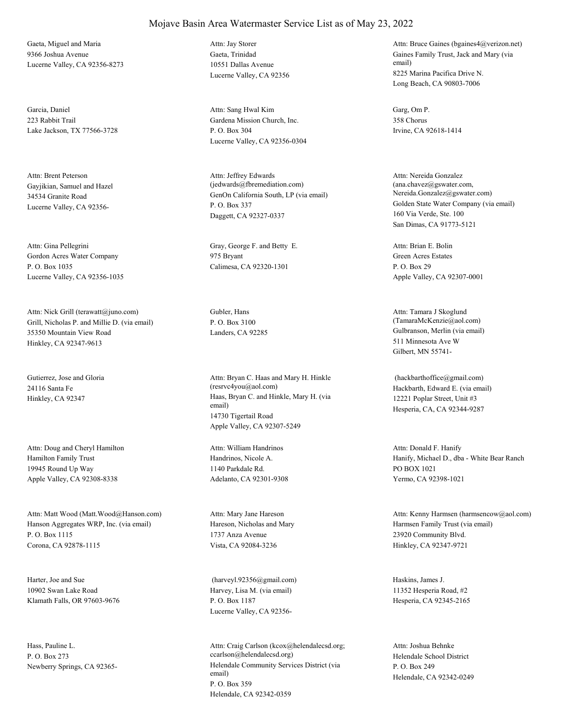Gaeta, Miguel and Maria 9366 Joshua Avenue Lucerne Valley, CA 92356-8273

Garcia, Daniel 223 Rabbit Trail Lake Jackson, TX 77566-3728

Gayjikian, Samuel and Hazel 34534 Granite Road Lucerne Valley, CA 92356- Attn: Brent Peterson

Gordon Acres Water Company P. O. Box 1035 Lucerne Valley, CA 92356-1035

Grill, Nicholas P. and Millie D. (via email) 35350 Mountain View Road Hinkley, CA 92347-9613 Attn: Nick Grill (terawatt@juno.com) Gubler, Hans

Gutierrez, Jose and Gloria 24116 Santa Fe

Hamilton Family Trust 19945 Round Up Way Apple Valley, CA 92308-8338 Attn: Doug and Cheryl Hamilton

Hanson Aggregates WRP, Inc. (via email) P. O. Box 1115 Corona, CA 92878-1115 Attn: Matt Wood (Matt.Wood@Hanson.com)

Harter, Joe and Sue 10902 Swan Lake Road Klamath Falls, OR 97603-9676

Hass, Pauline L. P. O. Box 273

## Mojave Basin Area Watermaster Service List as of May 23, 2022

Gaeta, Trinidad 10551 Dallas Avenue Lucerne Valley, CA 92356 Attn: Jay Storer

Gardena Mission Church, Inc. P. O. Box 304 Lucerne Valley, CA 92356-0304 Attn: Sang Hwal Kim Garg, Om P.

GenOn California South, LP (via email) P. O. Box 337 Daggett, CA 92327-0337 Attn: Jeffrey Edwards (jedwards@fbremediation.com)

Attn: Gina Pellegrini Gray, George F. and Betty E. 975 Bryant Calimesa, CA 92320-1301

P. O. Box 3100

Hinkley, CA 92347 Haas, Bryan C. and Hinkle, Mary H. (via email) 14730 Tigertail Road Apple Valley, CA 92307-5249 Attn: Bryan C. Haas and Mary H. Hinkle (resrvc4you@aol.com) Hackbarth, Edward E. (via email)

> Handrinos, Nicole A. 1140 Parkdale Rd. Adelanto, CA 92301-9308 Attn: William Handrinos

Hareson, Nicholas and Mary 1737 Anza Avenue Vista, CA 92084-3236 Attn: Mary Jane Hareson

Harvey, Lisa M. (via email) P. O. Box 1187 Lucerne Valley, CA 92356- (harveyl.92356@gmail.com) Haskins, James J.

Newberry Springs, CA 92365-<br>
Helendale Community Services District (via email) P. O. Box 359 Helendale, CA 92342-0359 Attn: Craig Carlson (kcox@helendalecsd.org; ccarlson@helendalecsd.org) Helendale School District

Gaines Family Trust, Jack and Mary (via email) 8225 Marina Pacifica Drive N. Long Beach, CA 90803-7006 Attn: Bruce Gaines (bgaines4@verizon.net)

358 Chorus Irvine, CA 92618-1414

Golden State Water Company (via email) 160 Via Verde, Ste. 100 San Dimas, CA 91773-5121 Attn: Nereida Gonzalez (ana.chavez@gswater.com, Nereida.Gonzalez@gswater.com)

Green Acres Estates P. O. Box 29 Apple Valley, CA 92307-0001 Attn: Brian E. Bolin

Landers, CA 92285 Gulbranson, Merlin (via email) 511 Minnesota Ave W Gilbert, MN 55741- Attn: Tamara J Skoglund (TamaraMcKenzie@aol.com)

> 12221 Poplar Street, Unit #3 Hesperia, CA, CA 92344-9287 (hackbarthoffice@gmail.com)

Hanify, Michael D., dba - White Bear Ranch PO BOX 1021 Yermo, CA 92398-1021 Attn: Donald F. Hanify

Harmsen Family Trust (via email) 23920 Community Blvd. Hinkley, CA 92347-9721 Attn: Kenny Harmsen (harmsencow@aol.com)

11352 Hesperia Road, #2 Hesperia, CA 92345-2165

P. O. Box 249 Helendale, CA 92342-0249 Attn: Joshua Behnke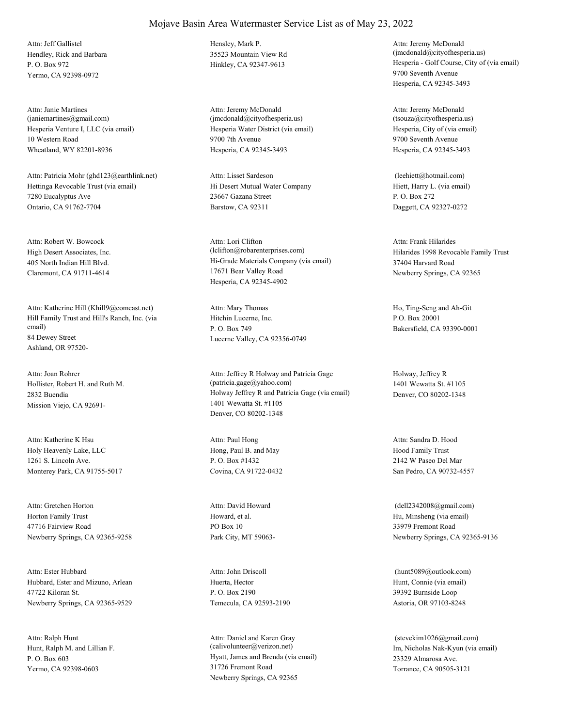Hendley, Rick and Barbara P. O. Box 972 Yermo, CA 92398-0972 Attn: Jeff Gallistel Hensley, Mark P.

Hesperia Venture I, LLC (via email) 10 Western Road Wheatland, WY 82201-8936 Attn: Janie Martines (janiemartines@gmail.com)

Hettinga Revocable Trust (via email) 7280 Eucalyptus Ave Ontario, CA 91762-7704 Attn: Patricia Mohr (ghd123@earthlink.net)

High Desert Associates, Inc. 405 North Indian Hill Blvd. Claremont, CA 91711-4614 Attn: Robert W. Bowcock

Hill Family Trust and Hill's Ranch, Inc. (via email) 84 Dewey Street Ashland, OR 97520- Attn: Katherine Hill (Khill9@comcast.net)

Hollister, Robert H. and Ruth M. 2832 Buendia Mission Viejo, CA 92691- Attn: Joan Rohrer

Holy Heavenly Lake, LLC 1261 S. Lincoln Ave. Monterey Park, CA 91755-5017 Attn: Katherine K Hsu

Horton Family Trust 47716 Fairview Road Newberry Springs, CA 92365-9258 Attn: Gretchen Horton

Hubbard, Ester and Mizuno, Arlean 47722 Kiloran St. Newberry Springs, CA 92365-9529 Attn: Ester Hubbard

Hunt, Ralph M. and Lillian F. P. O. Box 603 Yermo, CA 92398-0603 Attn: Ralph Hunt

35523 Mountain View Rd

Hesperia Water District (via email) 9700 7th Avenue Hesperia, CA 92345-3493 Attn: Jeremy McDonald (jmcdonald@cityofhesperia.us)

Hi Desert Mutual Water Company 23667 Gazana Street Barstow, CA 92311 Attn: Lisset Sardeson

Hi-Grade Materials Company (via email) 17671 Bear Valley Road Hesperia, CA 92345-4902 Attn: Lori Clifton<br>(lclifton@robarenterprises.com)

Hitchin Lucerne, Inc. P. O. Box 749 Lucerne Valley, CA 92356-0749 Attn: Mary Thomas Ho, Ting-Seng and Ah-Git

Holway Jeffrey R and Patricia Gage (via email) 1401 Wewatta St. #1105 Denver, CO 80202-1348 Attn: Jeffrey R Holway and Patricia Gage (patricia.gage@yahoo.com)

Hong, Paul B. and May P. O. Box #1432 Covina, CA 91722-0432 Attn: Paul Hong

Howard, et al. PO Box 10 Park City, MT 59063- Attn: David Howard

Huerta, Hector P. O. Box 2190 Temecula, CA 92593-2190 Attn: John Driscoll

Hyatt, James and Brenda (via email) 31726 Fremont Road Newberry Springs, CA 92365 Attn: Daniel and Karen Gray (calivolunteer@verizon.net) Im, Nicholas Nak-Kyun (via email)

Hinkley, CA 92347-9613 Hesperia - Golf Course, City of (via email) 9700 Seventh Avenue Hesperia, CA 92345-3493 Attn: Jeremy McDonald (jmcdonald@cityofhesperia.us)

> Hesperia, City of (via email) 9700 Seventh Avenue Hesperia, CA 92345-3493 Attn: Jeremy McDonald (tsouza@cityofhesperia.us)

Hiett, Harry L. (via email) P. O. Box 272 Daggett, CA 92327-0272 (leehiett@hotmail.com)

Hilarides 1998 Revocable Family Trust 37404 Harvard Road Newberry Springs, CA 92365 Attn: Frank Hilarides

P.O. Box 20001 Bakersfield, CA 93390-0001

Holway, Jeffrey R 1401 Wewatta St. #1105 Denver, CO 80202-1348

Hood Family Trust 2142 W Paseo Del Mar San Pedro, CA 90732-4557 Attn: Sandra D. Hood

Hu, Minsheng (via email) 33979 Fremont Road Newberry Springs, CA 92365-9136 (dell2342008@gmail.com)

Hunt, Connie (via email) 39392 Burnside Loop Astoria, OR 97103-8248 (hunt5089@outlook.com)

23329 Almarosa Ave. Torrance, CA 90505-3121 (stevekim1026@gmail.com)

### Mojave Basin Area Watermaster Service List as of May 23, 2022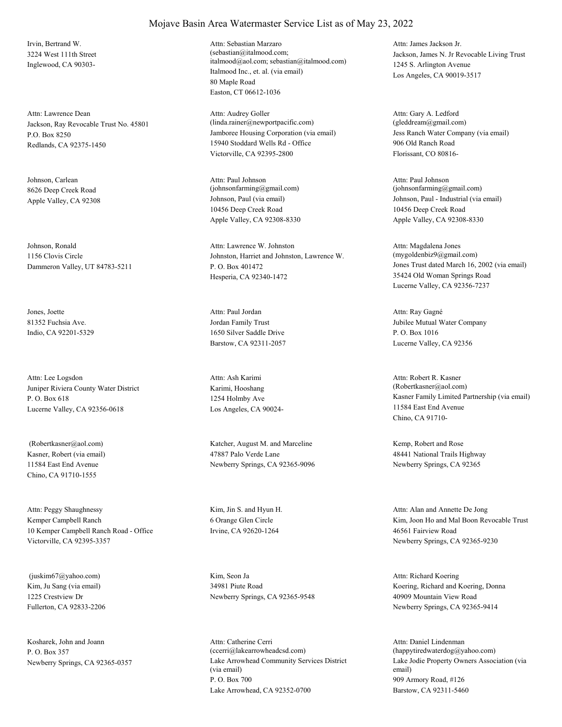Irvin, Bertrand W. 3224 West 111th Street Inglewood, CA 90303-

Jackson, Ray Revocable Trust No. 45801 P.O. Box 8250 Redlands, CA 92375-1450 Attn: Lawrence Dean

Johnson, Carlean 8626 Deep Creek Road

Johnson, Ronald 1156 Clovis Circle Dammeron Valley, UT 84783-5211

Jones, Joette 81352 Fuchsia Ave. Indio, CA 92201-5329

Juniper Riviera County Water District P. O. Box 618 Lucerne Valley, CA 92356-0618 Attn: Lee Logsdon

Kasner, Robert (via email) 11584 East End Avenue Chino, CA 91710-1555

Kemper Campbell Ranch 10 Kemper Campbell Ranch Road - Office Victorville, CA 92395-3357 Attn: Peggy Shaughnessy Kim, Jin S. and Hyun H.

Kim, Ju Sang (via email) 1225 Crestview Dr Fullerton, CA 92833-2206 (juskim67@yahoo.com) Kim, Seon Ja

Kosharek, John and Joann P. O. Box 357

#### Mojave Basin Area Watermaster Service List as of May 23, 2022

Italmood Inc., et. al. (via email) 80 Maple Road Easton, CT 06612-1036 Attn: Sebastian Marzaro (sebastian@italmood.com; italmood@aol.com; sebastian@italmood.com)

Jamboree Housing Corporation (via email) 15940 Stoddard Wells Rd - Office Victorville, CA 92395-2800 Attn: Audrey Goller (linda.rainer@newportpacific.com)

Apple Valley, CA 92308 Johnson, Paul (via email) 10456 Deep Creek Road Apple Valley, CA 92308-8330 Attn: Paul Johnson (johnsonfarming@gmail.com)

> Johnston, Harriet and Johnston, Lawrence W. P. O. Box 401472 Hesperia, CA 92340-1472 Attn: Lawrence W. Johnston

Jordan Family Trust 1650 Silver Saddle Drive Barstow, CA 92311-2057 Attn: Paul Jordan

Karimi, Hooshang 1254 Holmby Ave Los Angeles, CA 90024- Attn: Ash Karimi

 (Robertkasner@aol.com) Katcher, August M. and Marceline 47887 Palo Verde Lane Newberry Springs, CA 92365-9096

> 6 Orange Glen Circle Irvine, CA 92620-1264

34981 Piute Road Newberry Springs, CA 92365-9548

Newberry Springs, CA 92365-0357 Lake Arrowhead Community Services District (via email) P. O. Box 700 Lake Arrowhead, CA 92352-0700 Attn: Catherine Cerri (ccerri@lakearrowheadcsd.com)

Jackson, James N. Jr Revocable Living Trust 1245 S. Arlington Avenue Los Angeles, CA 90019-3517 Attn: James Jackson Jr.

Jess Ranch Water Company (via email) 906 Old Ranch Road Florissant, CO 80816- Attn: Gary A. Ledford (gleddream@gmail.com)

Johnson, Paul - Industrial (via email) 10456 Deep Creek Road Apple Valley, CA 92308-8330 Attn: Paul Johnson  $(iohnsonfarming@gmail.com)$ 

Jones Trust dated March 16, 2002 (via email) 35424 Old Woman Springs Road Lucerne Valley, CA 92356-7237 Attn: Magdalena Jones (mygoldenbiz9@gmail.com)

Jubilee Mutual Water Company P. O. Box 1016 Lucerne Valley, CA 92356 Attn: Ray Gagné

Kasner Family Limited Partnership (via email) 11584 East End Avenue Chino, CA 91710- Attn: Robert R. Kasner (Robertkasner@aol.com)

Kemp, Robert and Rose 48441 National Trails Highway Newberry Springs, CA 92365

Kim, Joon Ho and Mal Boon Revocable Trust 46561 Fairview Road Newberry Springs, CA 92365-9230 Attn: Alan and Annette De Jong

Koering, Richard and Koering, Donna 40909 Mountain View Road Newberry Springs, CA 92365-9414 Attn: Richard Koering

Lake Jodie Property Owners Association (via email) 909 Armory Road, #126 Barstow, CA 92311-5460 Attn: Daniel Lindenman (happytiredwaterdog@yahoo.com)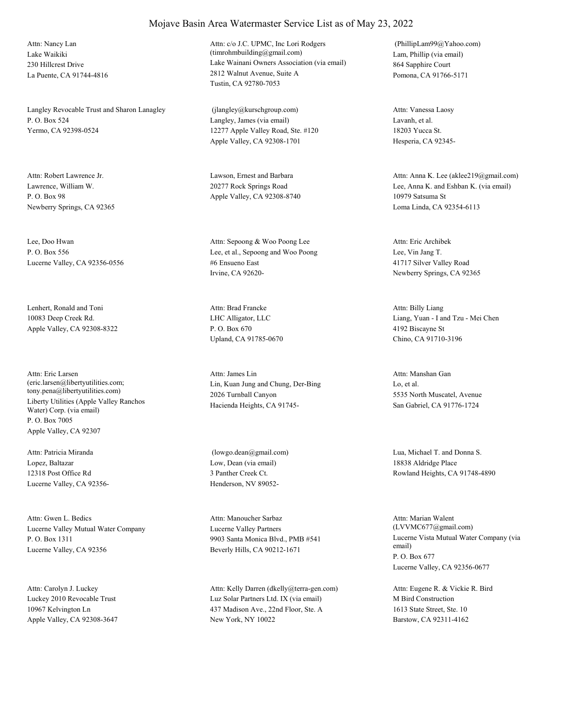Lake Waikiki 230 Hillcrest Drive La Puente, CA 91744-4816 Attn: Nancy Lan

Langley Revocable Trust and Sharon Lanagley P. O. Box 524 Yermo, CA 92398-0524

Lawrence, William W. P. O. Box 98 Newberry Springs, CA 92365 Attn: Robert Lawrence Jr. Lawson, Ernest and Barbara

Lee, Doo Hwan P. O. Box 556 Lucerne Valley, CA 92356-0556

Lenhert, Ronald and Toni 10083 Deep Creek Rd. Apple Valley, CA 92308-8322

Liberty Utilities (Apple Valley Ranchos Water) Corp. (via email) P. O. Box 7005 Apple Valley, CA 92307 Attn: Eric Larsen (eric.larsen@libertyutilities.com; tony.pena@libertyutilities.com)

Lopez, Baltazar 12318 Post Office Rd Lucerne Valley, CA 92356- Attn: Patricia Miranda

Lucerne Valley Mutual Water Company P. O. Box 1311 Lucerne Valley, CA 92356 Attn: Gwen L. Bedics

Luckey 2010 Revocable Trust 10967 Kelvington Ln Apple Valley, CA 92308-3647 Attn: Carolyn J. Luckey

Lake Wainani Owners Association (via email) 2812 Walnut Avenue, Suite A Tustin, CA 92780-7053 Attn: c/o J.C. UPMC, Inc Lori Rodgers (timrohmbuilding@gmail.com) Lam, Phillip (via email)

Langley, James (via email) 12277 Apple Valley Road, Ste. #120 Apple Valley, CA 92308-1701 (jlangley@kurschgroup.com)

20277 Rock Springs Road Apple Valley, CA 92308-8740

Lee, et al., Sepoong and Woo Poong #6 Ensueno East Irvine, CA 92620- Attn: Sepoong & Woo Poong Lee

LHC Alligator, LLC P. O. Box 670 Upland, CA 91785-0670 Attn: Brad Francke

Lin, Kuan Jung and Chung, Der-Bing 2026 Turnball Canyon Hacienda Heights, CA 91745- Attn: James Lin

Low, Dean (via email) 3 Panther Creek Ct. Henderson, NV 89052-

Lucerne Valley Partners 9903 Santa Monica Blvd., PMB #541 Beverly Hills, CA 90212-1671 Attn: Manoucher Sarbaz

Luz Solar Partners Ltd. IX (via email) 437 Madison Ave., 22nd Floor, Ste. A New York, NY 10022 Attn: Kelly Darren (dkelly@terra-gen.com) 864 Sapphire Court Pomona, CA 91766-5171 (PhillipLam99@Yahoo.com)

Lavanh, et al. 18203 Yucca St. Hesperia, CA 92345- Attn: Vanessa Laosy

Lee, Anna K. and Eshban K. (via email) 10979 Satsuma St Loma Linda, CA 92354-6113 Attn: Anna K. Lee (aklee219@gmail.com)

Lee, Vin Jang T. 41717 Silver Valley Road Newberry Springs, CA 92365 Attn: Eric Archibek

Liang, Yuan - I and Tzu - Mei Chen 4192 Biscayne St Chino, CA 91710-3196 Attn: Billy Liang

Lo, et al. 5535 North Muscatel, Avenue San Gabriel, CA 91776-1724 Attn: Manshan Gan

 (lowgo.dean@gmail.com) Lua, Michael T. and Donna S. 18838 Aldridge Place Rowland Heights, CA 91748-4890

> Lucerne Vista Mutual Water Company (via email) P. O. Box 677 Lucerne Valley, CA 92356-0677 Attn: Marian Walent (LVVMC677@gmail.com)

M Bird Construction 1613 State Street, Ste. 10 Barstow, CA 92311-4162 Attn: Eugene R. & Vickie R. Bird

## Mojave Basin Area Watermaster Service List as of May 23, 2022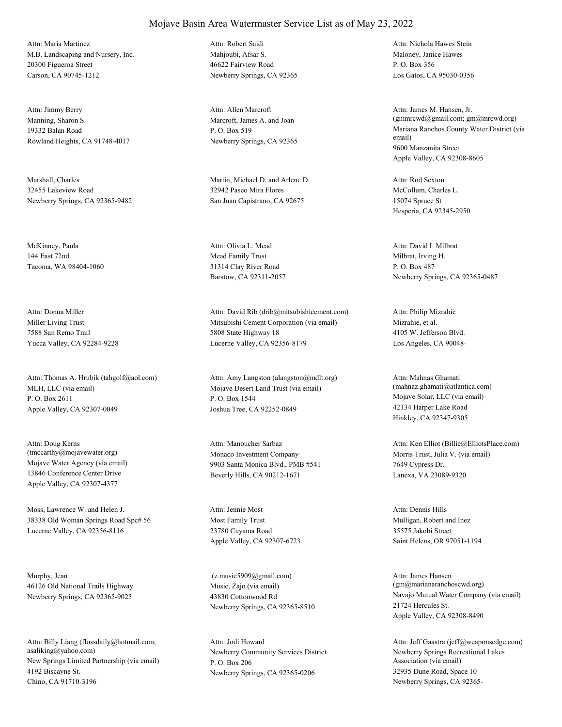M.B. Landscaping and Nursery, Inc. 20300 Figueroa Street Carson, CA 90745-1212 Attn: Maria Martinez

Manning, Sharon S. 19332 Balan Road Rowland Heights, CA 91748-4017 Attn: Jimmy Berry

Marshall, Charles 32455 Lakeview Road Newberry Springs, CA 92365-9482

McKinney, Paula 144 East 72nd Tacoma, WA 98404-1060

Miller Living Trust 7588 San Remo Trail Yucca Valley, CA 92284-9228 Attn: Donna Miller

MLH, LLC (via email) P. O. Box 2611 Apple Valley, CA 92307-0049 Attn: Thomas A. Hrubik (tahgolf@aol.com)

Mojave Water Agency (via email) 13846 Conference Center Drive Apple Valley, CA 92307-4377 Attn: Doug Kerns (tmccarthy@mojavewater.org) Monaco Investment Company

Moss, Lawrence W. and Helen J. 38338 Old Woman Springs Road Spc# 56 Lucerne Valley, CA 92356-8116

Murphy, Jean 46126 Old National Trails Highway Newberry Springs, CA 92365-9025

New Springs Limited Partnership (via email) 4192 Biscayne St. Chino, CA 91710-3196 Attn: Billy Liang (flossdaily@hotmail.com; asaliking@yahoo.com) Newberry Community Services District

Mahioubi, Afsar S. 46622 Fairview Road Newberry Springs, CA 92365 Attn: Robert Saidi

Marcroft, James A. and Joan P. O. Box 519 Newberry Springs, CA 92365 Attn: Allen Marcroft

Martin, Michael D. and Arlene D. 32942 Paseo Mira Flores San Juan Capistrano, CA 92675

Mead Family Trust 31314 Clay River Road Barstow, CA 92311-2057 Attn: Olivia L. Mead

Mitsubishi Cement Corporation (via email) 5808 State Highway 18 Lucerne Valley, CA 92356-8179 Attn: David Rib (drib@mitsubishicement.com)

Mojave Desert Land Trust (via email) P. O. Box 1544 Joshua Tree, CA 92252-0849 Attn: Amy Langston (alangston@mdlt.org)

9903 Santa Monica Blvd., PMB #541 Beverly Hills, CA 90212-1671 Attn: Manoucher Sarbaz

Most Family Trust 23780 Cuyama Road Apple Valley, CA 92307-6723 Attn: Jennie Most

Music, Zajo (via email) 43830 Cottonwood Rd Newberry Springs, CA 92365-8510 (z.music5909@gmail.com)

P. O. Box 206 Newberry Springs, CA 92365-0206 Attn: Jodi Howard

Maloney, Janice Hawes P. O. Box 356 Los Gatos, CA 95030-0356 Attn: Nichola Hawes Stein

Mariana Ranchos County Water District (via email) 9600 Manzanita Street Apple Valley, CA 92308-8605 Attn: James M. Hansen, Jr. (gmmrcwd@gmail.com; gm@mrcwd.org)

McCollum, Charles L. 15074 Spruce St Hesperia, CA 92345-2950 Attn: Rod Sexton

Milbrat, Irving H. P. O. Box 487 Newberry Springs, CA 92365-0487 Attn: David I. Milbrat

Mizrahie, et al. 4105 W. Jefferson Blvd. Los Angeles, CA 90048- Attn: Philip Mizrahie

Mojave Solar, LLC (via email) 42134 Harper Lake Road Hinkley, CA 92347-9305 Attn: Mahnas Ghamati (mahnaz.ghamati@atlantica.com)

Morris Trust, Julia V. (via email) 7649 Cypress Dr. Lanexa, VA 23089-9320 Attn: Ken Elliot (Billie@ElliotsPlace.com)

Mulligan, Robert and Inez 35575 Jakobi Street Saint Helens, OR 97051-1194 Attn: Dennis Hills

Navajo Mutual Water Company (via email) 21724 Hercules St. Apple Valley, CA 92308-8490 Attn: James Hansen (gm@marianaranchoscwd.org)

Newberry Springs Recreational Lakes Association (via email) 32935 Dune Road, Space 10 Newberry Springs, CA 92365- Attn: Jeff Gaastra (jeff@weaponsedge.com)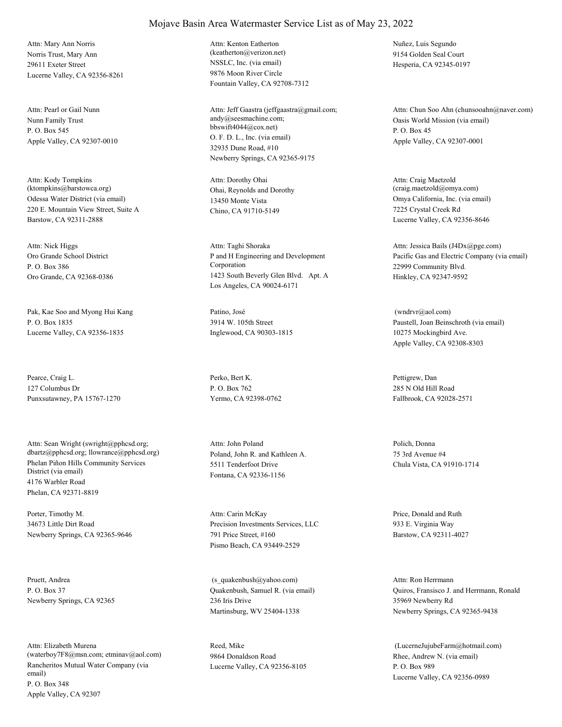Norris Trust, Mary Ann 29611 Exeter Street Lucerne Valley, CA 92356-8261 Attn: Mary Ann Norris

Nunn Family Trust P. O. Box 545 Apple Valley, CA 92307-0010 Attn: Pearl or Gail Nunn

Odessa Water District (via email) 220 E. Mountain View Street, Suite A Barstow, CA 92311-2888 Attn: Kody Tompkins (ktompkins@barstowca.org) Ohai, Reynolds and Dorothy

Oro Grande School District P. O. Box 386 Oro Grande, CA 92368-0386 Attn: Nick Higgs

Pak, Kae Soo and Myong Hui Kang P. O. Box 1835 Lucerne Valley, CA 92356-1835

Pearce, Craig L. 127 Columbus Dr Punxsutawney, PA 15767-1270

Phelan Piñon Hills Community Services District (via email) 4176 Warbler Road Phelan, CA 92371-8819 Attn: Sean Wright (swright@pphcsd.org; dbartz@pphcsd.org; llowrance@pphcsd.org) Poland, John R. and Kathleen A.

Porter, Timothy M. 34673 Little Dirt Road Newberry Springs, CA 92365-9646

Pruett, Andrea P. O. Box 37 Newberry Springs, CA 92365

Rancheritos Mutual Water Company (via email) P. O. Box 348 Apple Valley, CA 92307 Attn: Elizabeth Murena (waterboy7F8@msn.com; etminav@aol.com) NSSLC, Inc. (via email) 9876 Moon River Circle Fountain Valley, CA 92708-7312 Attn: Kenton Eatherton (keatherton@verizon.net)

O. F. D. L., Inc. (via email) 32935 Dune Road, #10 Newberry Springs, CA 92365-9175 Attn: Jeff Gaastra (jeffgaastra@gmail.com; andy@seesmachine.com; bbswift4044@cox.net)

13450 Monte Vista Chino, CA 91710-5149 Attn: Dorothy Ohai

P and H Engineering and Development Corporation 1423 South Beverly Glen Blvd. Apt. A Los Angeles, CA 90024-6171 Attn: Taghi Shoraka

Patino, José 3914 W. 105th Street Inglewood, CA 90303-1815

Perko, Bert K. P. O. Box 762 Yermo, CA 92398-0762

5511 Tenderfoot Drive Fontana, CA 92336-1156 Attn: John Poland Polich, Donna

Precision Investments Services, LLC 791 Price Street, #160 Pismo Beach, CA 93449-2529 Attn: Carin McKay Price, Donald and Ruth

Quakenbush, Samuel R. (via email) 236 Iris Drive Martinsburg, WV 25404-1338 (s\_quakenbush@yahoo.com)

Reed, Mike 9864 Donaldson Road Lucerne Valley, CA 92356-8105 Nuñez, Luis Segundo 9154 Golden Seal Court Hesperia, CA 92345-0197

Oasis World Mission (via email) P. O. Box 45 Apple Valley, CA 92307-0001 Attn: Chun Soo Ahn (chunsooahn@naver.com)

Omya California, Inc. (via email) 7225 Crystal Creek Rd Lucerne Valley, CA 92356-8646 Attn: Craig Maetzold (craig.maetzold@omya.com)

Pacific Gas and Electric Company (via email) 22999 Community Blvd. Hinkley, CA 92347-9592 Attn: Jessica Bails (J4Dx@pge.com)

Paustell, Joan Beinschroth (via email) 10275 Mockingbird Ave. Apple Valley, CA 92308-8303 (wndrvr@aol.com)

Pettigrew, Dan 285 N Old Hill Road Fallbrook, CA 92028-2571

75 3rd Avenue #4 Chula Vista, CA 91910-1714

933 E. Virginia Way Barstow, CA 92311-4027

Quiros, Fransisco J. and Herrmann, Ronald 35969 Newberry Rd Newberry Springs, CA 92365-9438 Attn: Ron Herrmann

Rhee, Andrew N. (via email) P. O. Box 989 Lucerne Valley, CA 92356-0989 (LucerneJujubeFarm@hotmail.com)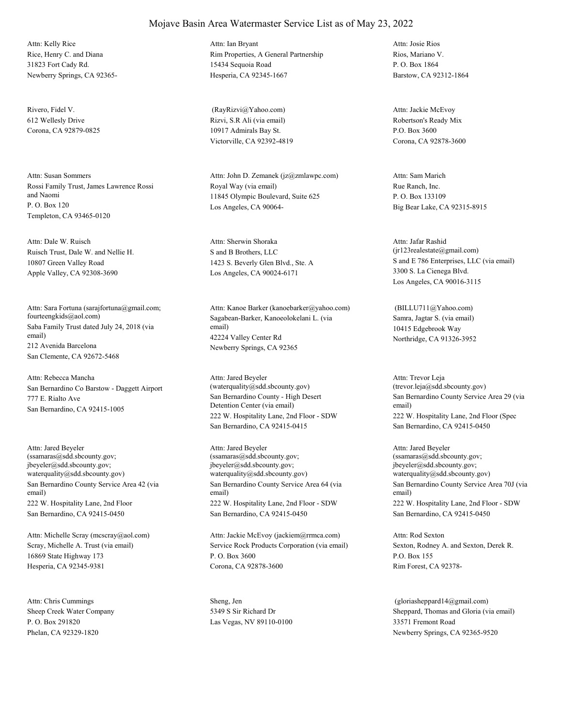Rice, Henry C. and Diana 31823 Fort Cady Rd. Newberry Springs, CA 92365- Attn: Kelly Rice

Rivero, Fidel V. 612 Wellesly Drive Corona, CA 92879-0825

Rossi Family Trust, James Lawrence Rossi and Naomi P. O. Box 120 Templeton, CA 93465-0120 Attn: Susan Sommers

Ruisch Trust, Dale W. and Nellie H. 10807 Green Valley Road Apple Valley, CA 92308-3690 Attn: Dale W. Ruisch

Saba Family Trust dated July 24, 2018 (via email) 212 Avenida Barcelona San Clemente, CA 92672-5468 Attn: Sara Fortuna (sarajfortuna@gmail.com; fourteengkids@aol.com) Sagabean-Barker, Kanoeolokelani L. (via

San Bernardino Co Barstow - Daggett Airport 777 E. Rialto Ave San Bernardino, CA 92415-1005 Attn: Rebecca Mancha

San Bernardino County Service Area 42 (via email) 222 W. Hospitality Lane, 2nd Floor San Bernardino, CA 92415-0450 Attn: Jared Beyeler (ssamaras@sdd.sbcounty.gov; jbeyeler@sdd.sbcounty.gov; waterquality@sdd.sbcounty.gov)

Scray, Michelle A. Trust (via email) 16869 State Highway 173 Hesperia, CA 92345-9381 Attn: Michelle Scray (mcscray@aol.com)

Sheep Creek Water Company P. O. Box 291820 Phelan, CA 92329-1820 Attn: Chris Cummings Sheng, Jen

#### Rim Properties, A General Partnership 15434 Sequoia Road Hesperia, CA 92345-1667 Attn: Ian Bryant

Mojave Basin Area Watermaster Service List as of May 23, 2022

Rizvi, S.R Ali (via email) 10917 Admirals Bay St. Victorville, CA 92392-4819 (RayRizvi@Yahoo.com)

Royal Way (via email) 11845 Olympic Boulevard, Suite 625 Los Angeles, CA 90064- Attn: John D. Zemanek (jz@zmlawpc.com)

S and B Brothers, LLC 1423 S. Beverly Glen Blvd., Ste. A Los Angeles, CA 90024-6171 Attn: Sherwin Shoraka

email) 42224 Valley Center Rd Newberry Springs, CA 92365 Attn: Kanoe Barker (kanoebarker@yahoo.com)

San Bernardino County - High Desert Detention Center (via email) 222 W. Hospitality Lane, 2nd Floor - SDW San Bernardino, CA 92415-0415 Attn: Jared Beyeler (waterquality@sdd.sbcounty.gov)

San Bernardino County Service Area 64 (via email) 222 W. Hospitality Lane, 2nd Floor - SDW San Bernardino, CA 92415-0450 Attn: Jared Beyeler (ssamaras@sdd.sbcounty.gov; jbeyeler@sdd.sbcounty.gov; waterquality@sdd.sbcounty.gov)

Service Rock Products Corporation (via email) P. O. Box 3600 Corona, CA 92878-3600 Attn: Jackie McEvoy (jackiem@rrmca.com)

5349 S Sir Richard Dr Las Vegas, NV 89110-0100 Rios, Mariano V. P. O. Box 1864 Barstow, CA 92312-1864 Attn: Josie Rios

Robertson's Ready Mix P.O. Box 3600 Corona, CA 92878-3600 Attn: Jackie McEvoy

Rue Ranch, Inc. P. O. Box 133109 Big Bear Lake, CA 92315-8915 Attn: Sam Marich

S and E 786 Enterprises, LLC (via email) 3300 S. La Cienega Blvd. Los Angeles, CA 90016-3115 Attn: Jafar Rashid (jr123realestate@gmail.com)

Samra, Jagtar S. (via email) 10415 Edgebrook Way Northridge, CA 91326-3952 (BILLU711@Yahoo.com)

San Bernardino County Service Area 29 (via email) 222 W. Hospitality Lane, 2nd Floor (Spec San Bernardino, CA 92415-0450 Attn: Trevor Leja (trevor.leja@sdd.sbcounty.gov)

San Bernardino County Service Area 70J (via email) 222 W. Hospitality Lane, 2nd Floor - SDW San Bernardino, CA 92415-0450 Attn: Jared Beyeler (ssamaras@sdd.sbcounty.gov; jbeyeler@sdd.sbcounty.gov; waterquality@sdd.sbcounty.gov)

Sexton, Rodney A. and Sexton, Derek R. P.O. Box 155 Rim Forest, CA 92378- Attn: Rod Sexton

Sheppard, Thomas and Gloria (via email) 33571 Fremont Road Newberry Springs, CA 92365-9520 (gloriasheppard14@gmail.com)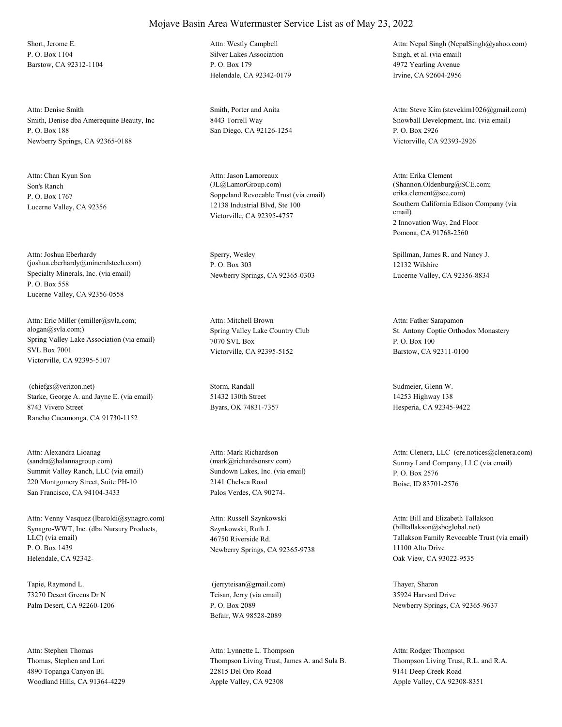Short, Jerome E. P. O. Box 1104 Barstow, CA 92312-1104

Smith, Denise dba Amerequine Beauty, Inc P. O. Box 188 Newberry Springs, CA 92365-0188 Attn: Denise Smith Smith, Porter and Anita

Son's Ranch P. O. Box 1767 Lucerne Valley, CA 92356 Attn: Chan Kyun Son

Specialty Minerals, Inc. (via email) P. O. Box 558 Lucerne Valley, CA 92356-0558 Attn: Joshua Eberhardy (joshua.eberhardy@mineralstech.com)

Spring Valley Lake Association (via email) SVL Box 7001 Victorville, CA 92395-5107 Attn: Eric Miller (emiller@svla.com; alogan@svla.com;) Spring Valley Lake Country Club

Starke, George A. and Jayne E. (via email) 8743 Vivero Street Rancho Cucamonga, CA 91730-1152 (chiefgs@verizon.net) Storm, Randall

Summit Valley Ranch, LLC (via email) 220 Montgomery Street, Suite PH-10 San Francisco, CA 94104-3433 Attn: Alexandra Lioanag (sandra@halannagroup.com)

Synagro-WWT, Inc. (dba Nursury Products, LLC) (via email) P. O. Box 1439 Helendale, CA 92342- Attn: Venny Vasquez (lbaroldi@synagro.com)

Tapie, Raymond L. 73270 Desert Greens Dr N Palm Desert, CA 92260-1206

Thomas, Stephen and Lori 4890 Topanga Canyon Bl. Woodland Hills, CA 91364-4229 Attn: Stephen Thomas

#### Mojave Basin Area Watermaster Service List as of May 23, 2022

Silver Lakes Association P. O. Box 179 Helendale, CA 92342-0179 Attn: Westly Campbell

8443 Torrell Way San Diego, CA 92126-1254

Soppeland Revocable Trust (via email) 12138 Industrial Blvd, Ste 100 Victorville, CA 92395-4757 Attn: Jason Lamoreaux (JL@LamorGroup.com)

Sperry, Wesley P. O. Box 303 Newberry Springs, CA 92365-0303

7070 SVL Box Victorville, CA 92395-5152 Attn: Mitchell Brown

51432 130th Street Byars, OK 74831-7357

Sundown Lakes, Inc. (via email) 2141 Chelsea Road Palos Verdes, CA 90274- Attn: Mark Richardson

Szynkowski, Ruth J. 46750 Riverside Rd. Newberry Springs, CA 92365-9738 Attn: Russell Szynkowski

Teisan, Jerry (via email) P. O. Box 2089 Befair, WA 98528-2089 (jerryteisan@gmail.com) Thayer, Sharon

Thompson Living Trust, James A. and Sula B. 22815 Del Oro Road Apple Valley, CA 92308 Attn: Lynnette L. Thompson

Singh, et al. (via email) 4972 Yearling Avenue Irvine, CA 92604-2956 Attn: Nepal Singh (NepalSingh@yahoo.com)

Snowball Development, Inc. (via email) P. O. Box 2926 Victorville, CA 92393-2926 Attn: Steve Kim (stevekim1026@gmail.com)

Southern California Edison Company (via email) 2 Innovation Way, 2nd Floor Pomona, CA 91768-2560 Attn: Erika Clement (Shannon.Oldenburg@SCE.com; erika.clement@sce.com)

Spillman, James R. and Nancy J. 12132 Wilshire Lucerne Valley, CA 92356-8834

St. Antony Coptic Orthodox Monastery P. O. Box 100 Barstow, CA 92311-0100 Attn: Father Sarapamon

Sudmeier, Glenn W. 14253 Highway 138 Hesperia, CA 92345-9422

(mark@richardsonsrv.com) Sunray Land Company, LLC (via email) P. O. Box 2576 Boise, ID 83701-2576 Attn: Clenera, LLC (cre.notices@clenera.com)

> Tallakson Family Revocable Trust (via email) 11100 Alto Drive Oak View, CA 93022-9535 Attn: Bill and Elizabeth Tallakson (billtallakson@sbcglobal.net)

35924 Harvard Drive Newberry Springs, CA 92365-9637

Thompson Living Trust, R.L. and R.A. 9141 Deep Creek Road Apple Valley, CA 92308-8351 Attn: Rodger Thompson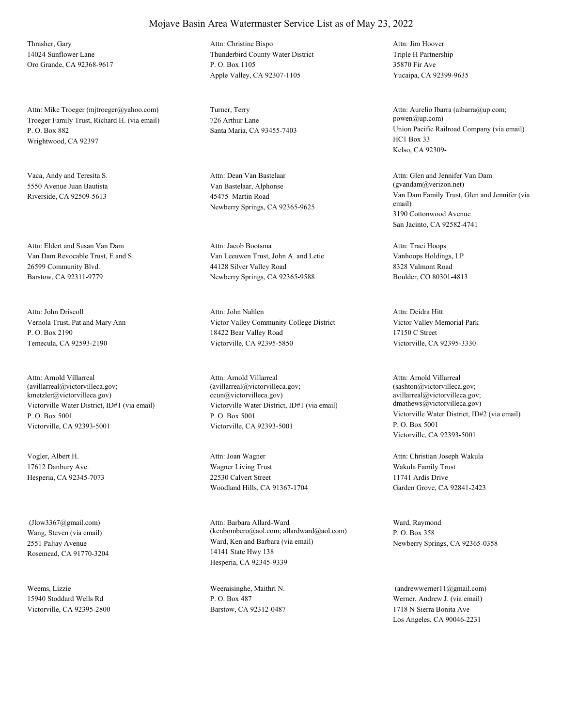Thrasher, Gary 14024 Sunflower Lane Oro Grande, CA 92368-9617

Troeger Family Trust, Richard H. (via email) P. O. Box 882 Wrightwood, CA 92397 Attn: Mike Troeger (mjtroeger@yahoo.com) Turner, Terry

Vaca, Andy and Teresita S. 5550 Avenue Juan Bautista Riverside, CA 92509-5613

Van Dam Revocable Trust, E and S 26599 Community Blvd. Barstow, CA 92311-9779 Attn: Eldert and Susan Van Dam

Vernola Trust, Pat and Mary Ann P. O. Box 2190 Temecula, CA 92593-2190 Attn: John Driscoll

Victorville Water District, ID#1 (via email) P. O. Box 5001 Victorville, CA 92393-5001 Attn: Arnold Villarreal (avillarreal@victorvilleca.gov; kmetzler@victorvilleca.gov)

Vogler, Albert H. 17612 Danbury Ave. Hesperia, CA 92345-7073

Wang, Steven (via email) 2551 Paljay Avenue Rosemead, CA 91770-3204 (Jlow3367@gmail.com)

Weems, Lizzie 15940 Stoddard Wells Rd Victorville, CA 92395-2800

## Mojave Basin Area Watermaster Service List as of May 23, 2022

Thunderbird County Water District P. O. Box 1105 Apple Valley, CA 92307-1105 Attn: Christine Bispo

726 Arthur Lane

Van Bastelaar, Alphonse 45475 Martin Road Newberry Springs, CA 92365-9625 Attn: Dean Van Bastelaar

Van Leeuwen Trust, John A. and Letie 44128 Silver Valley Road Newberry Springs, CA 92365-9588 Attn: Jacob Bootsma

Victor Valley Community College District 18422 Bear Valley Road Victorville, CA 92395-5850 Attn: John Nahlen

Victorville Water District, ID#1 (via email) P. O. Box 5001 Victorville, CA 92393-5001 Attn: Arnold Villarreal (avillarreal@victorvilleca.gov; ccun@victorvilleca.gov)

Wagner Living Trust 22530 Calvert Street Woodland Hills, CA 91367-1704 Attn: Joan Wagner

Ward, Ken and Barbara (via email) 14141 State Hwy 138 Hesperia, CA 92345-9339 Attn: Barbara Allard-Ward (kenbombero@aol.com; allardward@aol.com)

Weeraisinghe, Maithri N. P. O. Box 487 Barstow, CA 92312-0487 Triple H Partnership 35870 Fir Ave Yucaipa, CA 92399-9635 Attn: Jim Hoover

Santa Maria, CA 93455-7403 Union Pacific Railroad Company (via email) HC1 Box 33 Kelso, CA 92309- Attn: Aurelio Ibarra (aibarra@up.com; powen@up.com)

> Van Dam Family Trust, Glen and Jennifer (via email) 3190 Cottonwood Avenue San Jacinto, CA 92582-4741 Attn: Glen and Jennifer Van Dam (gvandam@verizon.net)

Vanhoops Holdings, LP 8328 Valmont Road Boulder, CO 80301-4813 Attn: Traci Hoops

Victor Valley Memorial Park 17150 C Street Victorville, CA 92395-3330 Attn: Deidra Hitt

Victorville Water District, ID#2 (via email) P. O. Box 5001 Victorville, CA 92393-5001 Attn: Arnold Villarreal (sashton@victorvilleca.gov; avillarreal@victorvilleca.gov; dmathews@victorvilleca.gov)

Wakula Family Trust 11741 Ardis Drive Garden Grove, CA 92841-2423 Attn: Christian Joseph Wakula

Ward, Raymond P. O. Box 358 Newberry Springs, CA 92365-0358

Werner, Andrew J. (via email) 1718 N Sierra Bonita Ave Los Angeles, CA 90046-2231  $(and$ rewwerner $11@g$ mail.com)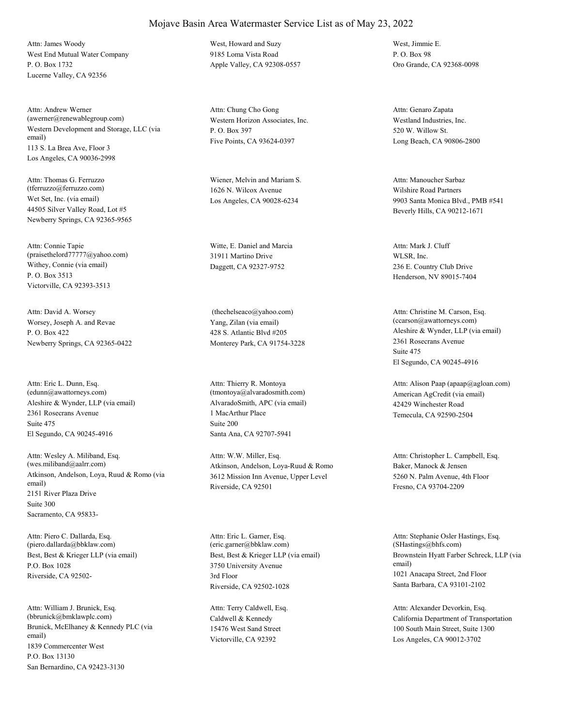West End Mutual Water Company P. O. Box 1732 Lucerne Valley, CA 92356 Attn: James Woody West, Howard and Suzy

Western Development and Storage, LLC (via email) 113 S. La Brea Ave, Floor 3 Los Angeles, CA 90036-2998 Attn: Andrew Werner (awerner@renewablegroup.com) Western Horizon Associates, Inc.

Wet Set, Inc. (via email) 44505 Silver Valley Road, Lot #5 Newberry Springs, CA 92365-9565 Attn: Thomas G. Ferruzzo (tferruzzo@ferruzzo.com)

Withey, Connie (via email) P. O. Box 3513 Victorville, CA 92393-3513 Attn: Connie Tapie (praisethelord77777@yahoo.com)

Worsey, Joseph A. and Revae P. O. Box 422 Newberry Springs, CA 92365-0422 Attn: David A. Worsey

Aleshire & Wynder, LLP (via email) 2361 Rosecrans Avenue El Segundo, CA 90245-4916 Attn: Eric L. Dunn, Esq. (edunn@awattorneys.com) Suite 475

Atkinson, Andelson, Loya, Ruud & Romo (via email) 2151 River Plaza Drive Sacramento, CA 95833- Attn: Wesley A. Miliband, Esq. (wes.miliband@aalrr.com) Suite 300

Best, Best & Krieger LLP (via email) P.O. Box 1028 Riverside, CA 92502- Attn: Piero C. Dallarda, Esq. (piero.dallarda@bbklaw.com)

Brunick, McElhaney & Kennedy PLC (via email) 1839 Commercenter West San Bernardino, CA 92423-3130 Attn: William J. Brunick, Esq. (bbrunick@bmklawplc.com) P.O. Box 13130

9185 Loma Vista Road Apple Valley, CA 92308-0557

P. O. Box 397 Five Points, CA 93624-0397 Attn: Chung Cho Gong

Wiener, Melvin and Mariam S. 1626 N. Wilcox Avenue Los Angeles, CA 90028-6234

Witte, E. Daniel and Marcia 31911 Martino Drive Daggett, CA 92327-9752

Yang, Zilan (via email) 428 S. Atlantic Blvd #205 Monterey Park, CA 91754-3228 (thechelseaco@yahoo.com)

AlvaradoSmith, APC (via email) 1 MacArthur Place Santa Ana, CA 92707-5941 Attn: Thierry R. Montoya (tmontoya@alvaradosmith.com) Suite 200

Atkinson, Andelson, Loya-Ruud & Romo 3612 Mission Inn Avenue, Upper Level Riverside, CA 92501 Attn: W.W. Miller, Esq.

Best, Best & Krieger LLP (via email) 3750 University Avenue Riverside, CA 92502-1028 Attn: Eric L. Garner, Esq. (eric.garner@bbklaw.com) 3rd Floor

Caldwell & Kennedy 15476 West Sand Street Victorville, CA 92392 Attn: Terry Caldwell, Esq.

West, Jimmie E. P. O. Box 98 Oro Grande, CA 92368-0098

Westland Industries, Inc. 520 W. Willow St. Long Beach, CA 90806-2800 Attn: Genaro Zapata

Wilshire Road Partners 9903 Santa Monica Blvd., PMB #541 Beverly Hills, CA 90212-1671 Attn: Manoucher Sarbaz

WLSR, Inc. 236 E. Country Club Drive Henderson, NV 89015-7404 Attn: Mark J. Cluff

Aleshire & Wynder, LLP (via email) 2361 Rosecrans Avenue El Segundo, CA 90245-4916 Attn: Christine M. Carson, Esq. (ccarson@awattorneys.com) Suite 475

American AgCredit (via email) 42429 Winchester Road Temecula, CA 92590-2504 Attn: Alison Paap (apaap@agloan.com)

Baker, Manock & Jensen 5260 N. Palm Avenue, 4th Floor Fresno, CA 93704-2209 Attn: Christopher L. Campbell, Esq.

Brownstein Hyatt Farber Schreck, LLP (via email) 1021 Anacapa Street, 2nd Floor Santa Barbara, CA 93101-2102 Attn: Stephanie Osler Hastings, Esq. (SHastings@bhfs.com)

California Department of Transportation 100 South Main Street, Suite 1300 Los Angeles, CA 90012-3702 Attn: Alexander Devorkin, Esq.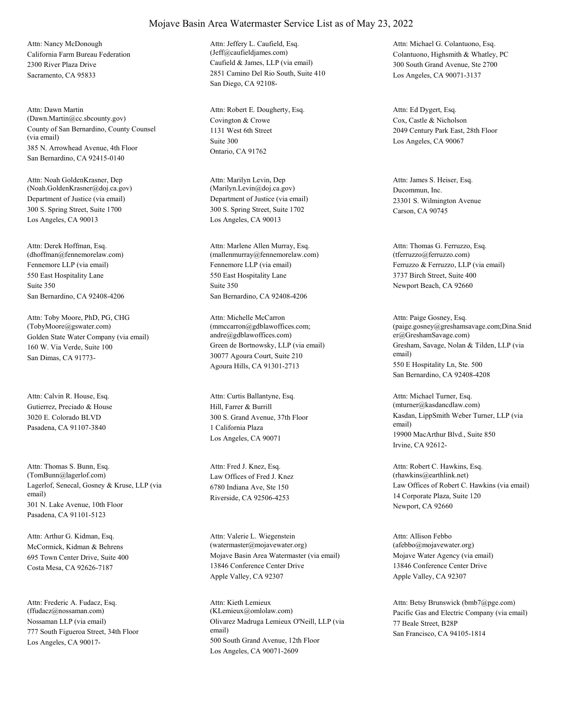California Farm Bureau Federation 2300 River Plaza Drive Sacramento, CA 95833 Attn: Nancy McDonough

County of San Bernardino, County Counsel (via email) 385 N. Arrowhead Avenue, 4th Floor San Bernardino, CA 92415-0140 Attn: Dawn Martin (Dawn.Martin@cc.sbcounty.gov) Covington & Crowe

Department of Justice (via email) 300 S. Spring Street, Suite 1700 Los Angeles, CA 90013 Attn: Noah GoldenKrasner, Dep (Noah.GoldenKrasner@doj.ca.gov)

Fennemore LLP (via email) 550 East Hospitality Lane San Bernardino, CA 92408-4206 Attn: Derek Hoffman, Esq. (dhoffman@fennemorelaw.com) Suite 350

Golden State Water Company (via email) 160 W. Via Verde, Suite 100 San Dimas, CA 91773- Attn: Toby Moore, PhD, PG, CHG (TobyMoore@gswater.com)

Gutierrez, Preciado & House 3020 E. Colorado BLVD Pasadena, CA 91107-3840 Attn: Calvin R. House, Esq.

Lagerlof, Senecal, Gosney & Kruse, LLP (via email) 301 N. Lake Avenue, 10th Floor Pasadena, CA 91101-5123 Attn: Thomas S. Bunn, Esq. (TomBunn@lagerlof.com) Law Offices of Fred J. Knez

McCormick, Kidman & Behrens 695 Town Center Drive, Suite 400 Costa Mesa, CA 92626-7187 Attn: Arthur G. Kidman, Esq.

Nossaman LLP (via email) 777 South Figueroa Street, 34th Floor Los Angeles, CA 90017- Attn: Frederic A. Fudacz, Esq. (ffudacz@nossaman.com)

Caufield & James, LLP (via email) 2851 Camino Del Rio South, Suite 410 San Diego, CA 92108- Attn: Jeffery L. Caufield, Esq. (Jeff@caufieldjames.com) Colantuono, Highsmith & Whatley, PC

1131 West 6th Street Ontario, CA 91762 Attn: Robert E. Dougherty, Esq. Suite 300

Department of Justice (via email) 300 S. Spring Street, Suite 1702 Los Angeles, CA 90013 Attn: Marilyn Levin, Dep (Marilyn.Levin@doj.ca.gov) Ducommun, Inc.

Fennemore LLP (via email) 550 East Hospitality Lane San Bernardino, CA 92408-4206 Attn: Marlene Allen Murray, Esq. (mallenmurray@fennemorelaw.com) Suite 350

Green de Bortnowsky, LLP (via email) 30077 Agoura Court, Suite 210 Agoura Hills, CA 91301-2713 Attn: Michelle McCarron (mmccarron@gdblawoffices.com; andre@gdblawoffices.com)

Hill, Farrer & Burrill 300 S. Grand Avenue, 37th Floor Los Angeles, CA 90071 Attn: Curtis Ballantyne, Esq. 1 California Plaza

6780 Indiana Ave, Ste 150 Riverside, CA 92506-4253 Attn: Fred J. Knez, Esq.

Mojave Basin Area Watermaster (via email) 13846 Conference Center Drive Apple Valley, CA 92307 Attn: Valerie L. Wiegenstein (watermaster@mojavewater.org)

Olivarez Madruga Lemieux O'Neill, LLP (via email) 500 South Grand Avenue, 12th Floor Los Angeles, CA 90071-2609 Attn: Kieth Lemieux

300 South Grand Avenue, Ste 2700 Los Angeles, CA 90071-3137 Attn: Michael G. Colantuono, Esq.

Cox, Castle & Nicholson 2049 Century Park East, 28th Floor Los Angeles, CA 90067 Attn: Ed Dygert, Esq.

23301 S. Wilmington Avenue Carson, CA 90745 Attn: James S. Heiser, Esq.

Ferruzzo & Ferruzzo, LLP (via email) 3737 Birch Street, Suite 400 Newport Beach, CA 92660 Attn: Thomas G. Ferruzzo, Esq. (tferruzzo@ferruzzo.com)

Gresham, Savage, Nolan & Tilden, LLP (via email) 550 E Hospitality Ln, Ste. 500 San Bernardino, CA 92408-4208 Attn: Paige Gosney, Esq. (paige.gosney@greshamsavage.com;Dina.Snid er@GreshamSavage.com)

Kasdan, LippSmith Weber Turner, LLP (via email) 19900 MacArthur Blvd., Suite 850 Irvine, CA 92612- Attn: Michael Turner, Esq. (mturner@kasdancdlaw.com)

Law Offices of Robert C. Hawkins (via email) 14 Corporate Plaza, Suite 120 Newport, CA 92660 Attn: Robert C. Hawkins, Esq. (rhawkins@earthlink.net)

Mojave Water Agency (via email) 13846 Conference Center Drive Apple Valley, CA 92307 Attn: Allison Febbo (afebbo@mojavewater.org)

(KLemieux@omlolaw.com) Pacific Gas and Electric Company (via email) 77 Beale Street, B28P San Francisco, CA 94105-1814 Attn: Betsy Brunswick (bmb7@pge.com)